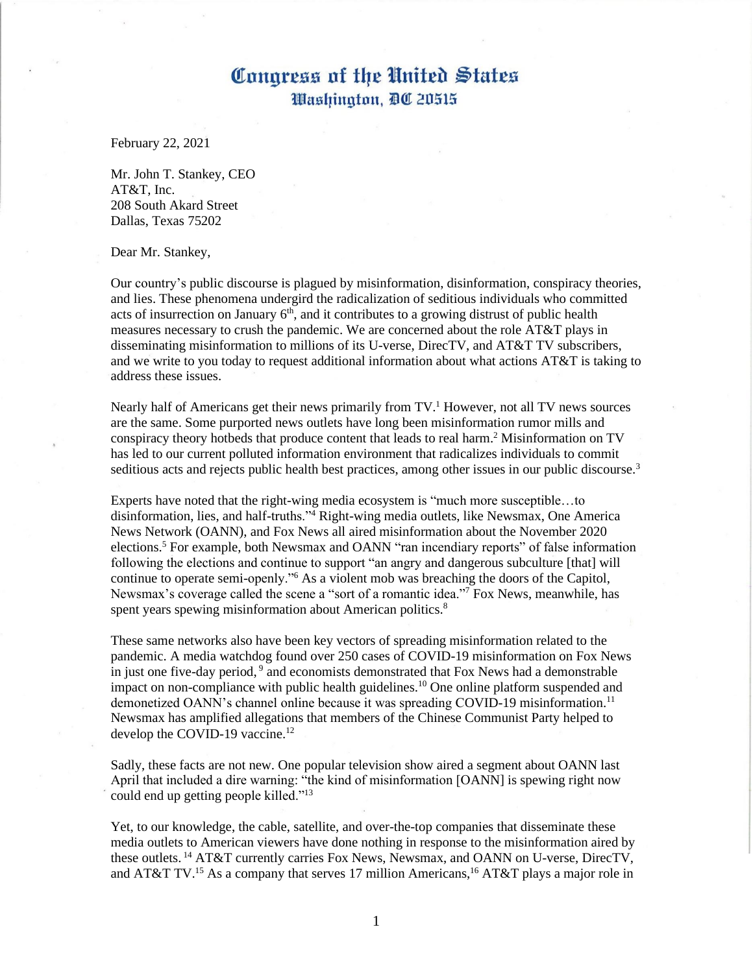February 22, 2021

Mr. John T. Stankey, CEO AT&T, Inc. 208 South Akard Street Dallas, Texas 75202

Dear Mr. Stankey,

Our country's public discourse is plagued by misinformation, disinformation, conspiracy theories, and lies. These phenomena undergird the radicalization of seditious individuals who committed acts of insurrection on January  $6<sup>th</sup>$ , and it contributes to a growing distrust of public health measures necessary to crush the pandemic. We are concerned about the role AT&T plays in disseminating misinformation to millions of its U-verse, DirecTV, and AT&T TV subscribers, and we write to you today to request additional information about what actions  $AT&ST$  is taking to address these issues.

Nearly half of Americans get their news primarily from  $TV<sup>1</sup>$  However, not all TV news sources are the same. Some purported news outlets have long been misinformation rumor mills and conspiracy theory hotbeds that produce content that leads to real harm. <sup>2</sup> Misinformation on TV has led to our current polluted information environment that radicalizes individuals to commit seditious acts and rejects public health best practices, among other issues in our public discourse.<sup>3</sup>

Experts have noted that the right-wing media ecosystem is "much more susceptible…to disinformation, lies, and half-truths."<sup>4</sup> Right-wing media outlets, like Newsmax, One America News Network (OANN), and Fox News all aired misinformation about the November 2020 elections.<sup>5</sup> For example, both Newsmax and OANN "ran incendiary reports" of false information following the elections and continue to support "an angry and dangerous subculture [that] will continue to operate semi-openly."<sup>6</sup> As a violent mob was breaching the doors of the Capitol, Newsmax's coverage called the scene a "sort of a romantic idea."<sup>7</sup> Fox News, meanwhile, has spent years spewing misinformation about American politics.<sup>8</sup>

These same networks also have been key vectors of spreading misinformation related to the pandemic. A media watchdog found over 250 cases of COVID-19 misinformation on Fox News in just one five-day period, 9 and economists demonstrated that Fox News had a demonstrable impact on non-compliance with public health guidelines.<sup>10</sup> One online platform suspended and demonetized OANN's channel online because it was spreading COVID-19 misinformation.<sup>11</sup> Newsmax has amplified allegations that members of the Chinese Communist Party helped to develop the COVID-19 vaccine.<sup>12</sup>

Sadly, these facts are not new. One popular television show aired a segment about OANN last April that included a dire warning: "the kind of misinformation [OANN] is spewing right now could end up getting people killed."<sup>13</sup>

Yet, to our knowledge, the cable, satellite, and over-the-top companies that disseminate these media outlets to American viewers have done nothing in response to the misinformation aired by these outlets.<sup>14</sup> AT&T currently carries Fox News, Newsmax, and OANN on U-verse, DirecTV, and AT&T TV.<sup>15</sup> As a company that serves 17 million Americans,<sup>16</sup> AT&T plays a major role in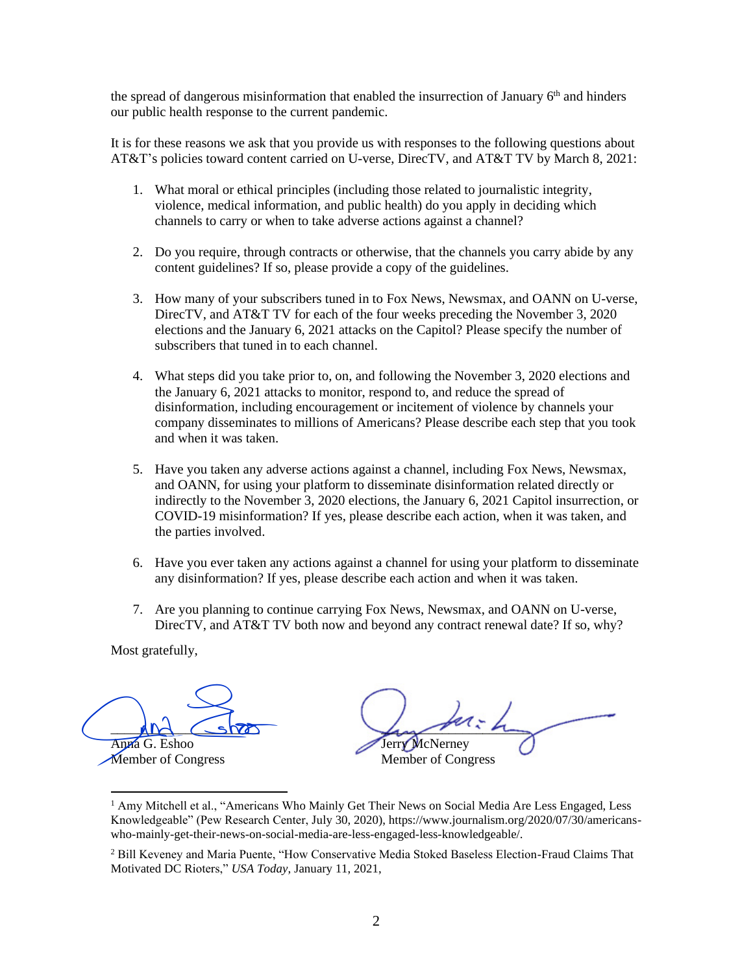the spread of dangerous misinformation that enabled the insurrection of January  $6<sup>th</sup>$  and hinders our public health response to the current pandemic.

It is for these reasons we ask that you provide us with responses to the following questions about AT&T's policies toward content carried on U-verse, DirecTV, and AT&T TV by March 8, 2021:

- 1. What moral or ethical principles (including those related to journalistic integrity, violence, medical information, and public health) do you apply in deciding which channels to carry or when to take adverse actions against a channel?
- 2. Do you require, through contracts or otherwise, that the channels you carry abide by any content guidelines? If so, please provide a copy of the guidelines.
- 3. How many of your subscribers tuned in to Fox News, Newsmax, and OANN on U-verse, DirecTV, and AT&T TV for each of the four weeks preceding the November 3, 2020 elections and the January 6, 2021 attacks on the Capitol? Please specify the number of subscribers that tuned in to each channel.
- 4. What steps did you take prior to, on, and following the November 3, 2020 elections and the January 6, 2021 attacks to monitor, respond to, and reduce the spread of disinformation, including encouragement or incitement of violence by channels your company disseminates to millions of Americans? Please describe each step that you took and when it was taken.
- 5. Have you taken any adverse actions against a channel, including Fox News, Newsmax, and OANN, for using your platform to disseminate disinformation related directly or indirectly to the November 3, 2020 elections, the January 6, 2021 Capitol insurrection, or COVID-19 misinformation? If yes, please describe each action, when it was taken, and the parties involved.
- 6. Have you ever taken any actions against a channel for using your platform to disseminate any disinformation? If yes, please describe each action and when it was taken.
- 7. Are you planning to continue carrying Fox News, Newsmax, and OANN on U-verse, DirecTV, and AT&T TV both now and beyond any contract renewal date? If so, why?

 $MN \sim$ Anna G. Eshoo And Show<br>Anna G. Eshoo<br>Member of Congress

 $L_{\rm max}$  and the Jerry McNerney Member of Congress

<sup>&</sup>lt;sup>1</sup> Amy Mitchell et al., "Americans Who Mainly Get Their News on Social Media Are Less Engaged, Less Knowledgeable" (Pew Research Center, July 30, 2020), https://www.journalism.org/2020/07/30/americanswho-mainly-get-their-news-on-social-media-are-less-engaged-less-knowledgeable/.

<sup>&</sup>lt;sup>2</sup> Bill Keveney and Maria Puente, "How Conservative Media Stoked Baseless Election-Fraud Claims That Motivated DC Rioters," *USA Today*, January 11, 2021,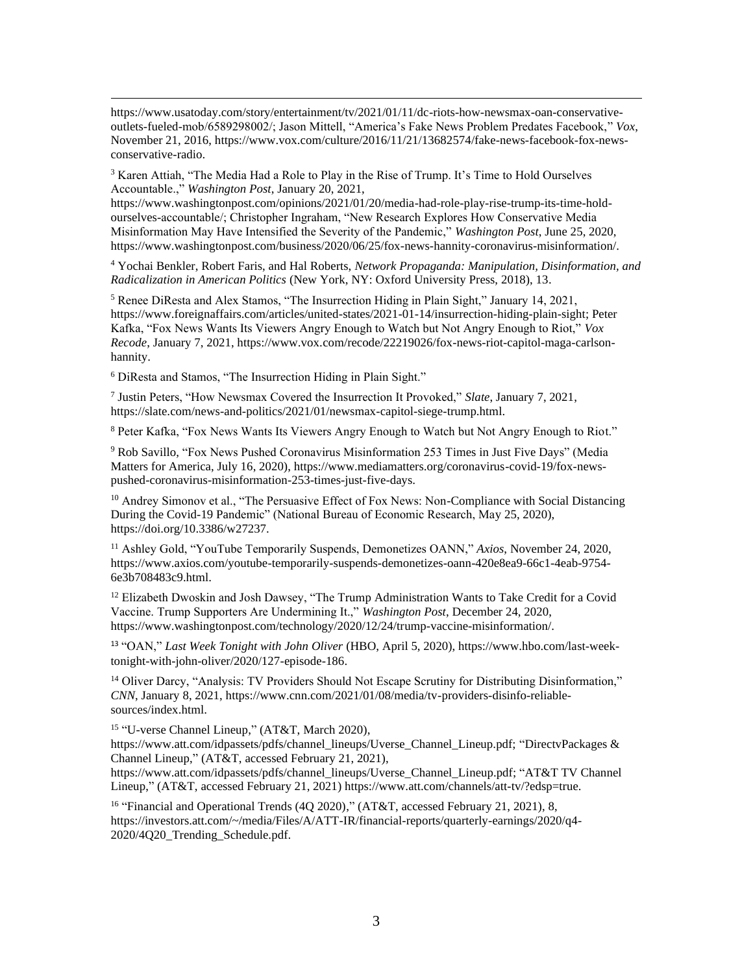$3$  Karen Attiah, "The Media Had a Role to Play in the Rise of Trump. It's Time to Hold Ourselves Accountable.," *Washington Post*, January 20, 2021,

https://www.washingtonpost.com/opinions/2021/01/20/media-had-role-play-rise-trump-its-time-holdourselves-accountable/; Christopher Ingraham, "New Research Explores How Conservative Media Misinformation May Have Intensified the Severity of the Pandemic," *Washington Post*, June 25, 2020, https://www.washingtonpost.com/business/2020/06/25/fox-news-hannity-coronavirus-misinformation/.

<sup>4</sup> Yochai Benkler, Robert Faris, and Hal Roberts, *Network Propaganda: Manipulation, Disinformation, and Radicalization in American Politics* (New York, NY: Oxford University Press, 2018), 13.

<sup>5</sup> Renee DiResta and Alex Stamos, "The Insurrection Hiding in Plain Sight," January 14, 2021, https://www.foreignaffairs.com/articles/united-states/2021-01-14/insurrection-hiding-plain-sight; Peter Kafka, "Fox News Wants Its Viewers Angry Enough to Watch but Not Angry Enough to Riot," *Vox Recode*, January 7, 2021, https://www.vox.com/recode/22219026/fox-news-riot-capitol-maga-carlsonhannity.

<sup>6</sup> DiResta and Stamos, "The Insurrection Hiding in Plain Sight."

7 Justin Peters, "How Newsmax Covered the Insurrection It Provoked," *Slate*, January 7, 2021, https://slate.com/news-and-politics/2021/01/newsmax-capitol-siege-trump.html.

<sup>8</sup> Peter Kafka, "Fox News Wants Its Viewers Angry Enough to Watch but Not Angry Enough to Riot."

<sup>9</sup> Rob Savillo, "Fox News Pushed Coronavirus Misinformation 253 Times in Just Five Days" (Media Matters for America, July 16, 2020), https://www.mediamatters.org/coronavirus-covid-19/fox-newspushed-coronavirus-misinformation-253-times-just-five-days.

<sup>10</sup> Andrey Simonov et al., "The Persuasive Effect of Fox News: Non-Compliance with Social Distancing During the Covid-19 Pandemic" (National Bureau of Economic Research, May 25, 2020), https://doi.org/10.3386/w27237.

<sup>11</sup> Ashley Gold, "YouTube Temporarily Suspends, Demonetizes OANN," *Axios*, November 24, 2020, https://www.axios.com/youtube-temporarily-suspends-demonetizes-oann-420e8ea9-66c1-4eab-9754- 6e3b708483c9.html.

<sup>12</sup> Elizabeth Dwoskin and Josh Dawsey, "The Trump Administration Wants to Take Credit for a Covid Vaccine. Trump Supporters Are Undermining It.," *Washington Post*, December 24, 2020, https://www.washingtonpost.com/technology/2020/12/24/trump-vaccine-misinformation/.

<sup>13</sup> "OAN," *Last Week Tonight with John Oliver* (HBO, April 5, 2020), https://www.hbo.com/last-weektonight-with-john-oliver/2020/127-episode-186.

<sup>14</sup> Oliver Darcy, "Analysis: TV Providers Should Not Escape Scrutiny for Distributing Disinformation," *CNN*, January 8, 2021, https://www.cnn.com/2021/01/08/media/tv-providers-disinfo-reliablesources/index.html.

15 "U-verse Channel Lineup," (AT&T, March 2020),

https://www.att.com/idpassets/pdfs/channel\_lineups/Uverse\_Channel\_Lineup.pdf; "DirectvPackages & Channel Lineup," (AT&T, accessed February 21, 2021),

https://www.att.com/idpassets/pdfs/channel\_lineups/Uverse\_Channel\_Lineup.pdf; "AT&T TV Channel Lineup," (AT&T, accessed February 21, 2021) https://www.att.com/channels/att-tv/?edsp=true.

<sup>16</sup> "Financial and Operational Trends (4Q 2020)," (AT&T, accessed February 21, 2021), 8, https://investors.att.com/~/media/Files/A/ATT-IR/financial-reports/quarterly-earnings/2020/q4- 2020/4Q20\_Trending\_Schedule.pdf.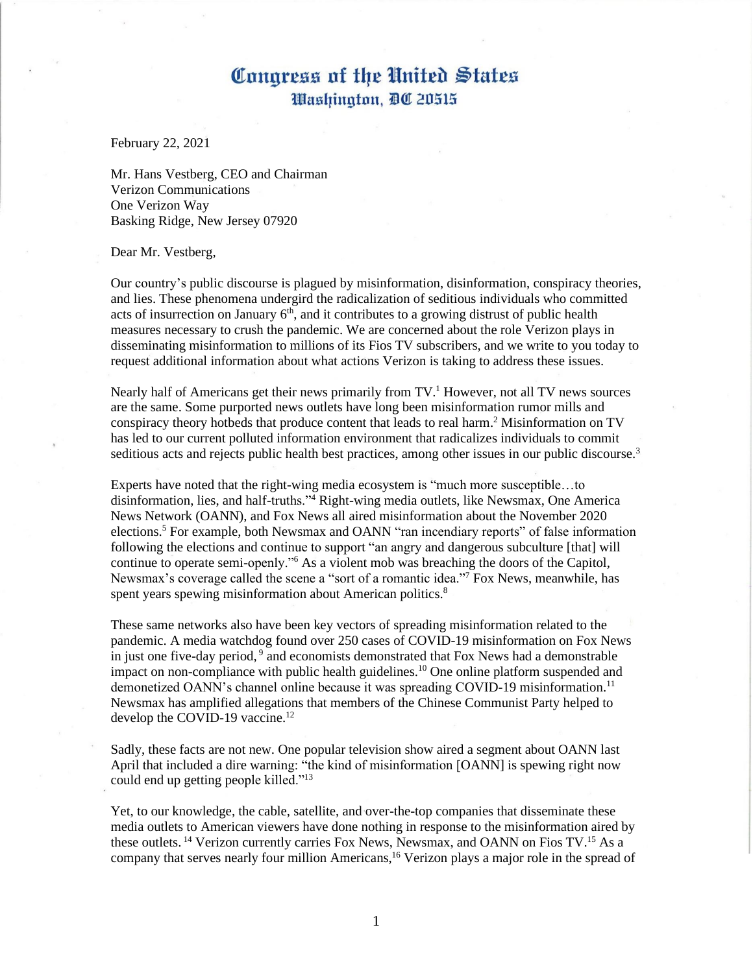February 22, 2021

Mr. Hans Vestberg, CEO and Chairman Verizon Communications One Verizon Way Basking Ridge, New Jersey 07920

#### Dear Mr. Vestberg,

Our country's public discourse is plagued by misinformation, disinformation, conspiracy theories, and lies. These phenomena undergird the radicalization of seditious individuals who committed acts of insurrection on January  $6<sup>th</sup>$ , and it contributes to a growing distrust of public health measures necessary to crush the pandemic. We are concerned about the role Verizon plays in disseminating misinformation to millions of its Fios TV subscribers, and we write to you today to request additional information about what actions Verizon is taking to address these issues.

Nearly half of Americans get their news primarily from  $TV<sup>1</sup>$  However, not all TV news sources are the same. Some purported news outlets have long been misinformation rumor mills and conspiracy theory hotbeds that produce content that leads to real harm. <sup>2</sup> Misinformation on TV has led to our current polluted information environment that radicalizes individuals to commit seditious acts and rejects public health best practices, among other issues in our public discourse.<sup>3</sup>

Experts have noted that the right-wing media ecosystem is "much more susceptible…to disinformation, lies, and half-truths."<sup>4</sup> Right-wing media outlets, like Newsmax, One America News Network (OANN), and Fox News all aired misinformation about the November 2020 elections.<sup>5</sup> For example, both Newsmax and OANN "ran incendiary reports" of false information following the elections and continue to support "an angry and dangerous subculture [that] will continue to operate semi-openly."<sup>6</sup> As a violent mob was breaching the doors of the Capitol, Newsmax's coverage called the scene a "sort of a romantic idea."<sup>7</sup> Fox News, meanwhile, has spent years spewing misinformation about American politics.<sup>8</sup>

These same networks also have been key vectors of spreading misinformation related to the pandemic. A media watchdog found over 250 cases of COVID-19 misinformation on Fox News in just one five-day period, 9 and economists demonstrated that Fox News had a demonstrable impact on non-compliance with public health guidelines.<sup>10</sup> One online platform suspended and demonetized OANN's channel online because it was spreading COVID-19 misinformation.<sup>11</sup> Newsmax has amplified allegations that members of the Chinese Communist Party helped to develop the COVID-19 vaccine.<sup>12</sup>

Sadly, these facts are not new. One popular television show aired a segment about OANN last April that included a dire warning: "the kind of misinformation [OANN] is spewing right now could end up getting people killed."<sup>13</sup>

Yet, to our knowledge, the cable, satellite, and over-the-top companies that disseminate these media outlets to American viewers have done nothing in response to the misinformation aired by these outlets.<sup>14</sup> Verizon currently carries Fox News, Newsmax, and OANN on Fios TV.<sup>15</sup> As a company that serves nearly four million Americans,<sup>16</sup> Verizon plays a major role in the spread of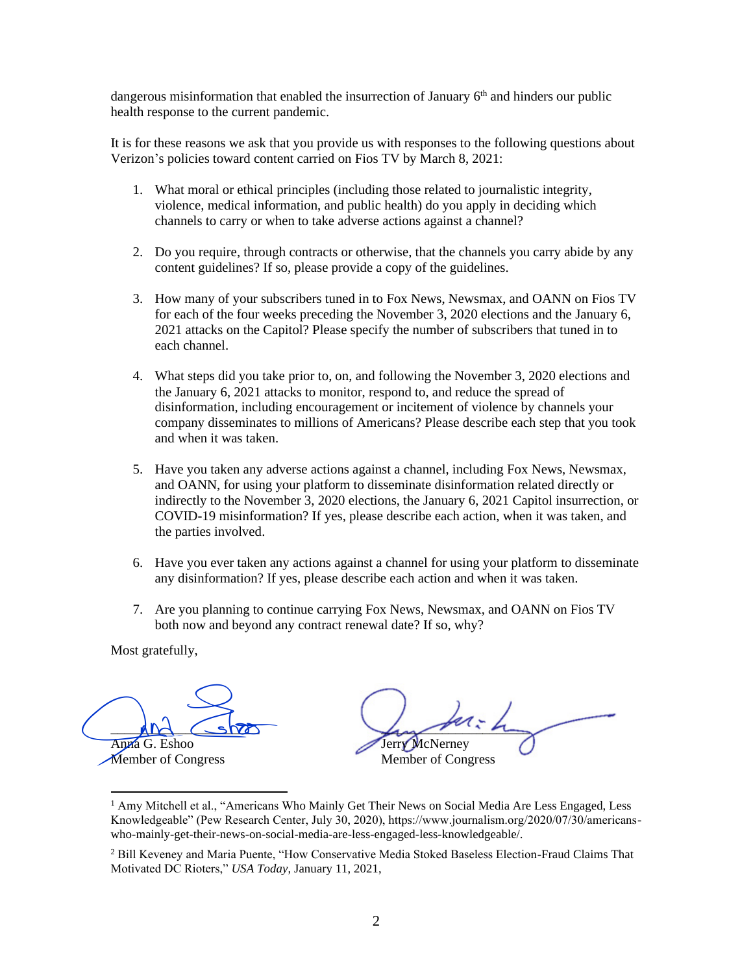dangerous misinformation that enabled the insurrection of January  $6<sup>th</sup>$  and hinders our public health response to the current pandemic.

It is for these reasons we ask that you provide us with responses to the following questions about Verizon's policies toward content carried on Fios TV by March 8, 2021:

- 1. What moral or ethical principles (including those related to journalistic integrity, violence, medical information, and public health) do you apply in deciding which channels to carry or when to take adverse actions against a channel?
- 2. Do you require, through contracts or otherwise, that the channels you carry abide by any content guidelines? If so, please provide a copy of the guidelines.
- 3. How many of your subscribers tuned in to Fox News, Newsmax, and OANN on Fios TV for each of the four weeks preceding the November 3, 2020 elections and the January 6, 2021 attacks on the Capitol? Please specify the number of subscribers that tuned in to each channel.
- 4. What steps did you take prior to, on, and following the November 3, 2020 elections and the January 6, 2021 attacks to monitor, respond to, and reduce the spread of disinformation, including encouragement or incitement of violence by channels your company disseminates to millions of Americans? Please describe each step that you took and when it was taken.
- 5. Have you taken any adverse actions against a channel, including Fox News, Newsmax, and OANN, for using your platform to disseminate disinformation related directly or indirectly to the November 3, 2020 elections, the January 6, 2021 Capitol insurrection, or COVID-19 misinformation? If yes, please describe each action, when it was taken, and the parties involved.
- 6. Have you ever taken any actions against a channel for using your platform to disseminate any disinformation? If yes, please describe each action and when it was taken.
- 7. Are you planning to continue carrying Fox News, Newsmax, and OANN on Fios TV both now and beyond any contract renewal date? If so, why?

 $MN \sim$ Anna G. Eshoo And Show<br>Anna G. Eshoo<br>Member of Congress

 $L_{\rm max}$  and the Jerry McNerney Member of Congress

<sup>&</sup>lt;sup>1</sup> Amy Mitchell et al., "Americans Who Mainly Get Their News on Social Media Are Less Engaged, Less Knowledgeable" (Pew Research Center, July 30, 2020), https://www.journalism.org/2020/07/30/americanswho-mainly-get-their-news-on-social-media-are-less-engaged-less-knowledgeable/.

<sup>&</sup>lt;sup>2</sup> Bill Keveney and Maria Puente, "How Conservative Media Stoked Baseless Election-Fraud Claims That Motivated DC Rioters," *USA Today*, January 11, 2021,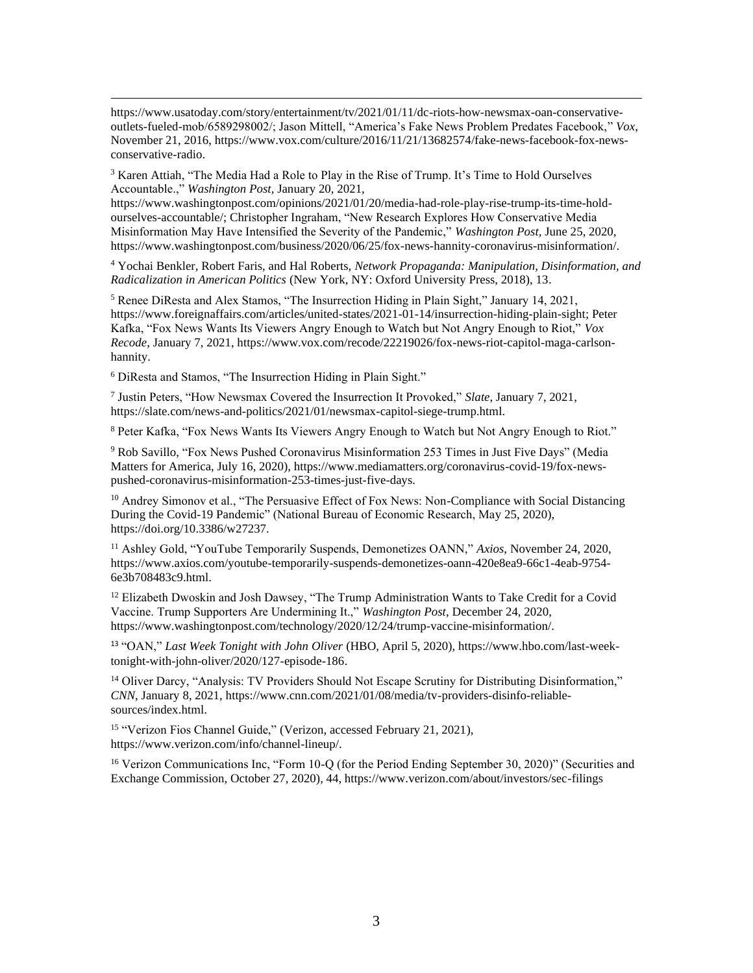$3$  Karen Attiah, "The Media Had a Role to Play in the Rise of Trump. It's Time to Hold Ourselves Accountable.," *Washington Post*, January 20, 2021,

https://www.washingtonpost.com/opinions/2021/01/20/media-had-role-play-rise-trump-its-time-holdourselves-accountable/; Christopher Ingraham, "New Research Explores How Conservative Media Misinformation May Have Intensified the Severity of the Pandemic," *Washington Post*, June 25, 2020, https://www.washingtonpost.com/business/2020/06/25/fox-news-hannity-coronavirus-misinformation/.

<sup>4</sup> Yochai Benkler, Robert Faris, and Hal Roberts, *Network Propaganda: Manipulation, Disinformation, and Radicalization in American Politics* (New York, NY: Oxford University Press, 2018), 13.

<sup>5</sup> Renee DiResta and Alex Stamos, "The Insurrection Hiding in Plain Sight," January 14, 2021, https://www.foreignaffairs.com/articles/united-states/2021-01-14/insurrection-hiding-plain-sight; Peter Kafka, "Fox News Wants Its Viewers Angry Enough to Watch but Not Angry Enough to Riot," *Vox Recode*, January 7, 2021, https://www.vox.com/recode/22219026/fox-news-riot-capitol-maga-carlsonhannity.

<sup>6</sup> DiResta and Stamos, "The Insurrection Hiding in Plain Sight."

7 Justin Peters, "How Newsmax Covered the Insurrection It Provoked," *Slate*, January 7, 2021, https://slate.com/news-and-politics/2021/01/newsmax-capitol-siege-trump.html.

<sup>8</sup> Peter Kafka, "Fox News Wants Its Viewers Angry Enough to Watch but Not Angry Enough to Riot."

<sup>9</sup> Rob Savillo, "Fox News Pushed Coronavirus Misinformation 253 Times in Just Five Days" (Media Matters for America, July 16, 2020), https://www.mediamatters.org/coronavirus-covid-19/fox-newspushed-coronavirus-misinformation-253-times-just-five-days.

<sup>10</sup> Andrey Simonov et al., "The Persuasive Effect of Fox News: Non-Compliance with Social Distancing During the Covid-19 Pandemic" (National Bureau of Economic Research, May 25, 2020), https://doi.org/10.3386/w27237.

<sup>11</sup> Ashley Gold, "YouTube Temporarily Suspends, Demonetizes OANN," *Axios*, November 24, 2020, https://www.axios.com/youtube-temporarily-suspends-demonetizes-oann-420e8ea9-66c1-4eab-9754- 6e3b708483c9.html.

<sup>12</sup> Elizabeth Dwoskin and Josh Dawsey, "The Trump Administration Wants to Take Credit for a Covid Vaccine. Trump Supporters Are Undermining It.," *Washington Post*, December 24, 2020, https://www.washingtonpost.com/technology/2020/12/24/trump-vaccine-misinformation/.

<sup>13</sup> "OAN," *Last Week Tonight with John Oliver* (HBO, April 5, 2020), https://www.hbo.com/last-weektonight-with-john-oliver/2020/127-episode-186.

<sup>14</sup> Oliver Darcy, "Analysis: TV Providers Should Not Escape Scrutiny for Distributing Disinformation," *CNN*, January 8, 2021, https://www.cnn.com/2021/01/08/media/tv-providers-disinfo-reliablesources/index.html.

<sup>15</sup> "Verizon Fios Channel Guide," (Verizon, accessed February 21, 2021), https://www.verizon.com/info/channel-lineup/.

<sup>16</sup> Verizon Communications Inc, "Form 10-Q (for the Period Ending September 30, 2020)" (Securities and Exchange Commission, October 27, 2020), 44, https://www.verizon.com/about/investors/sec-filings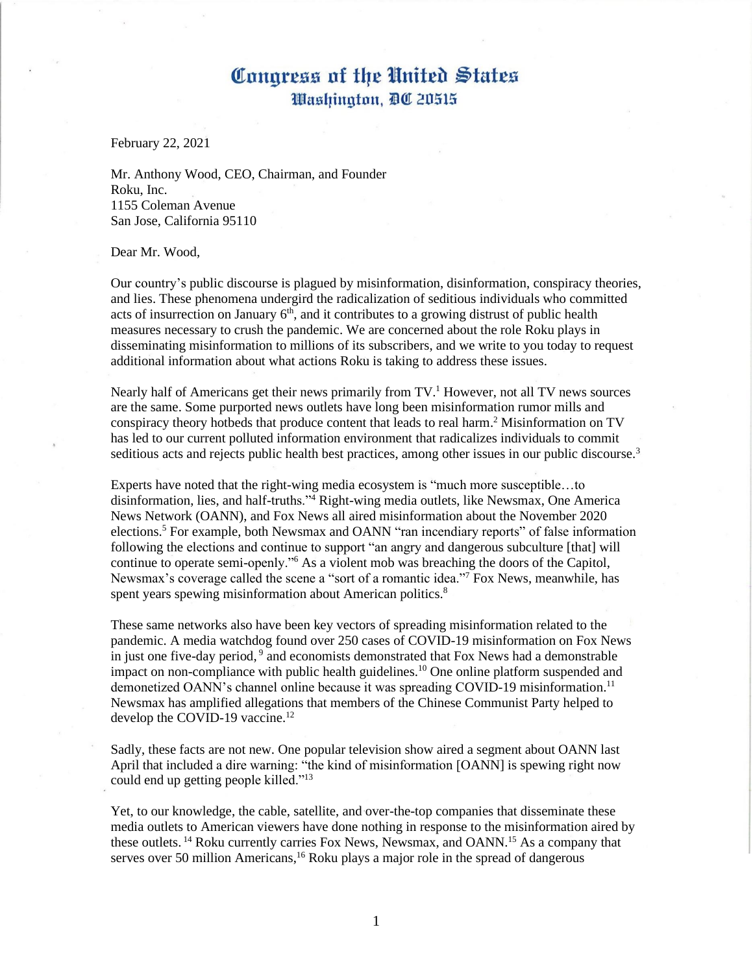February 22, 2021

Mr. Anthony Wood, CEO, Chairman, and Founder Roku, Inc. 1155 Coleman Avenue San Jose, California 95110

Dear Mr. Wood,

Our country's public discourse is plagued by misinformation, disinformation, conspiracy theories, and lies. These phenomena undergird the radicalization of seditious individuals who committed acts of insurrection on January  $6<sup>th</sup>$ , and it contributes to a growing distrust of public health measures necessary to crush the pandemic. We are concerned about the role Roku plays in disseminating misinformation to millions of its subscribers, and we write to you today to request additional information about what actions Roku is taking to address these issues.

Nearly half of Americans get their news primarily from  $TV<sup>1</sup>$  However, not all TV news sources are the same. Some purported news outlets have long been misinformation rumor mills and conspiracy theory hotbeds that produce content that leads to real harm. <sup>2</sup> Misinformation on TV has led to our current polluted information environment that radicalizes individuals to commit seditious acts and rejects public health best practices, among other issues in our public discourse.<sup>3</sup>

Experts have noted that the right-wing media ecosystem is "much more susceptible…to disinformation, lies, and half-truths."<sup>4</sup> Right-wing media outlets, like Newsmax, One America News Network (OANN), and Fox News all aired misinformation about the November 2020 elections.<sup>5</sup> For example, both Newsmax and OANN "ran incendiary reports" of false information following the elections and continue to support "an angry and dangerous subculture [that] will continue to operate semi-openly."<sup>6</sup> As a violent mob was breaching the doors of the Capitol, Newsmax's coverage called the scene a "sort of a romantic idea."<sup>7</sup> Fox News, meanwhile, has spent years spewing misinformation about American politics.<sup>8</sup>

These same networks also have been key vectors of spreading misinformation related to the pandemic. A media watchdog found over 250 cases of COVID-19 misinformation on Fox News in just one five-day period, 9 and economists demonstrated that Fox News had a demonstrable impact on non-compliance with public health guidelines.<sup>10</sup> One online platform suspended and demonetized OANN's channel online because it was spreading COVID-19 misinformation.<sup>11</sup> Newsmax has amplified allegations that members of the Chinese Communist Party helped to develop the COVID-19 vaccine.<sup>12</sup>

Sadly, these facts are not new. One popular television show aired a segment about OANN last April that included a dire warning: "the kind of misinformation [OANN] is spewing right now could end up getting people killed."<sup>13</sup>

Yet, to our knowledge, the cable, satellite, and over-the-top companies that disseminate these media outlets to American viewers have done nothing in response to the misinformation aired by these outlets.<sup>14</sup> Roku currently carries Fox News, Newsmax, and OANN.<sup>15</sup> As a company that serves over 50 million Americans,  $16$  Roku plays a major role in the spread of dangerous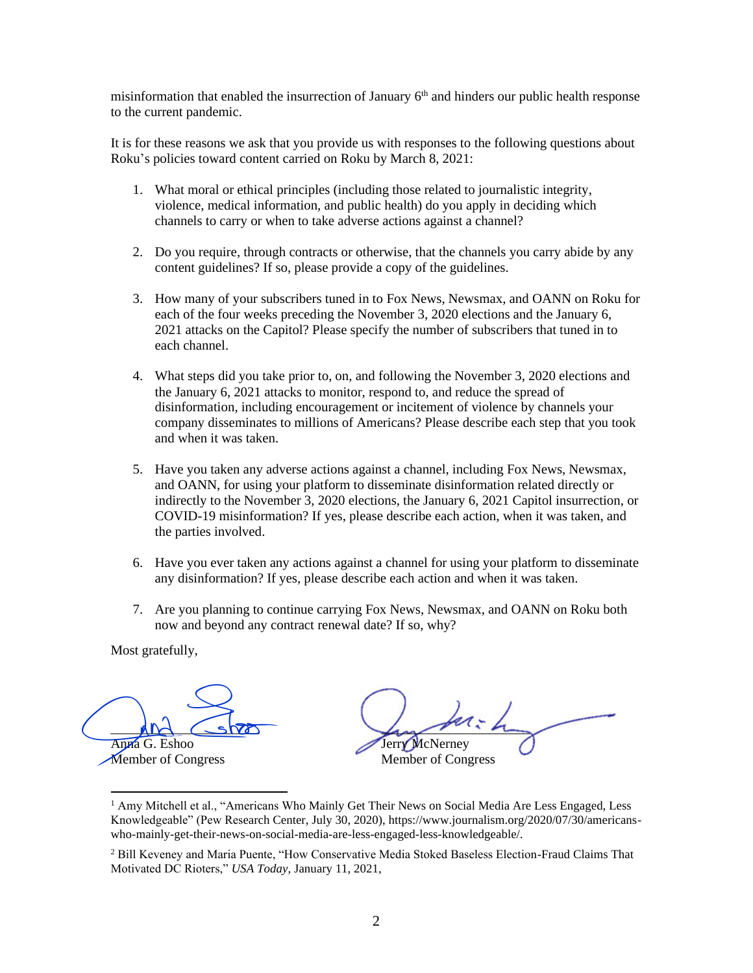misinformation that enabled the insurrection of January  $6<sup>th</sup>$  and hinders our public health response to the current pandemic.

It is for these reasons we ask that you provide us with responses to the following questions about Roku's policies toward content carried on Roku by March 8, 2021:

- 1. What moral or ethical principles (including those related to journalistic integrity, violence, medical information, and public health) do you apply in deciding which channels to carry or when to take adverse actions against a channel?
- 2. Do you require, through contracts or otherwise, that the channels you carry abide by any content guidelines? If so, please provide a copy of the guidelines.
- 3. How many of your subscribers tuned in to Fox News, Newsmax, and OANN on Roku for each of the four weeks preceding the November 3, 2020 elections and the January 6, 2021 attacks on the Capitol? Please specify the number of subscribers that tuned in to each channel.
- 4. What steps did you take prior to, on, and following the November 3, 2020 elections and the January 6, 2021 attacks to monitor, respond to, and reduce the spread of disinformation, including encouragement or incitement of violence by channels your company disseminates to millions of Americans? Please describe each step that you took and when it was taken.
- 5. Have you taken any adverse actions against a channel, including Fox News, Newsmax, and OANN, for using your platform to disseminate disinformation related directly or indirectly to the November 3, 2020 elections, the January 6, 2021 Capitol insurrection, or COVID-19 misinformation? If yes, please describe each action, when it was taken, and the parties involved.
- 6. Have you ever taken any actions against a channel for using your platform to disseminate any disinformation? If yes, please describe each action and when it was taken.
- 7. Are you planning to continue carrying Fox News, Newsmax, and OANN on Roku both now and beyond any contract renewal date? If so, why?

 $MN \sim$ Anna G. Eshoo And Show<br>Anna G. Eshoo<br>Member of Congress

 $L_{\rm max}$  points Jerry McNerney Member of Congress

<sup>&</sup>lt;sup>1</sup> Amy Mitchell et al., "Americans Who Mainly Get Their News on Social Media Are Less Engaged, Less Knowledgeable" (Pew Research Center, July 30, 2020), https://www.journalism.org/2020/07/30/americanswho-mainly-get-their-news-on-social-media-are-less-engaged-less-knowledgeable/.

<sup>&</sup>lt;sup>2</sup> Bill Keveney and Maria Puente, "How Conservative Media Stoked Baseless Election-Fraud Claims That Motivated DC Rioters," *USA Today*, January 11, 2021,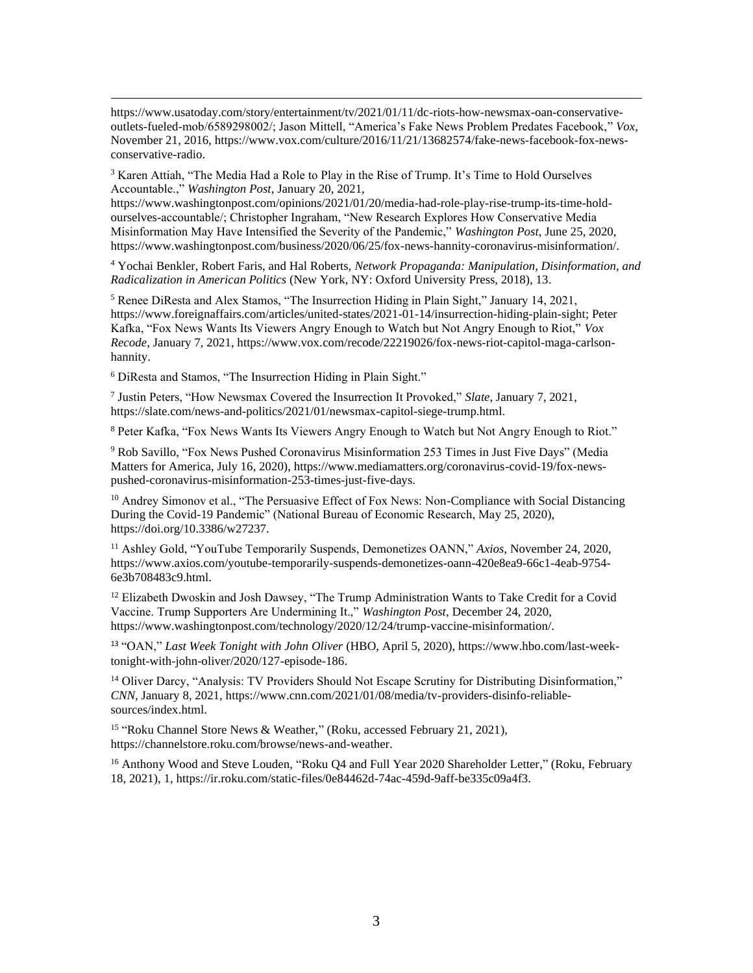$3$  Karen Attiah, "The Media Had a Role to Play in the Rise of Trump. It's Time to Hold Ourselves Accountable.," *Washington Post*, January 20, 2021,

https://www.washingtonpost.com/opinions/2021/01/20/media-had-role-play-rise-trump-its-time-holdourselves-accountable/; Christopher Ingraham, "New Research Explores How Conservative Media Misinformation May Have Intensified the Severity of the Pandemic," *Washington Post*, June 25, 2020, https://www.washingtonpost.com/business/2020/06/25/fox-news-hannity-coronavirus-misinformation/.

<sup>4</sup> Yochai Benkler, Robert Faris, and Hal Roberts, *Network Propaganda: Manipulation, Disinformation, and Radicalization in American Politics* (New York, NY: Oxford University Press, 2018), 13.

<sup>5</sup> Renee DiResta and Alex Stamos, "The Insurrection Hiding in Plain Sight," January 14, 2021, https://www.foreignaffairs.com/articles/united-states/2021-01-14/insurrection-hiding-plain-sight; Peter Kafka, "Fox News Wants Its Viewers Angry Enough to Watch but Not Angry Enough to Riot," *Vox Recode*, January 7, 2021, https://www.vox.com/recode/22219026/fox-news-riot-capitol-maga-carlsonhannity.

<sup>6</sup> DiResta and Stamos, "The Insurrection Hiding in Plain Sight."

7 Justin Peters, "How Newsmax Covered the Insurrection It Provoked," *Slate*, January 7, 2021, https://slate.com/news-and-politics/2021/01/newsmax-capitol-siege-trump.html.

<sup>8</sup> Peter Kafka, "Fox News Wants Its Viewers Angry Enough to Watch but Not Angry Enough to Riot."

<sup>9</sup> Rob Savillo, "Fox News Pushed Coronavirus Misinformation 253 Times in Just Five Days" (Media Matters for America, July 16, 2020), https://www.mediamatters.org/coronavirus-covid-19/fox-newspushed-coronavirus-misinformation-253-times-just-five-days.

<sup>10</sup> Andrey Simonov et al., "The Persuasive Effect of Fox News: Non-Compliance with Social Distancing During the Covid-19 Pandemic" (National Bureau of Economic Research, May 25, 2020), https://doi.org/10.3386/w27237.

<sup>11</sup> Ashley Gold, "YouTube Temporarily Suspends, Demonetizes OANN," *Axios*, November 24, 2020, https://www.axios.com/youtube-temporarily-suspends-demonetizes-oann-420e8ea9-66c1-4eab-9754- 6e3b708483c9.html.

<sup>12</sup> Elizabeth Dwoskin and Josh Dawsey, "The Trump Administration Wants to Take Credit for a Covid Vaccine. Trump Supporters Are Undermining It.," *Washington Post*, December 24, 2020, https://www.washingtonpost.com/technology/2020/12/24/trump-vaccine-misinformation/.

<sup>13</sup> "OAN," *Last Week Tonight with John Oliver* (HBO, April 5, 2020), https://www.hbo.com/last-weektonight-with-john-oliver/2020/127-episode-186.

<sup>14</sup> Oliver Darcy, "Analysis: TV Providers Should Not Escape Scrutiny for Distributing Disinformation," *CNN*, January 8, 2021, https://www.cnn.com/2021/01/08/media/tv-providers-disinfo-reliablesources/index.html.

<sup>15</sup> "Roku Channel Store News & Weather," (Roku, accessed February 21, 2021), https://channelstore.roku.com/browse/news-and-weather.

<sup>16</sup> Anthony Wood and Steve Louden, "Roku Q4 and Full Year 2020 Shareholder Letter," (Roku, February 18, 2021), 1, https://ir.roku.com/static-files/0e84462d-74ac-459d-9aff-be335c09a4f3.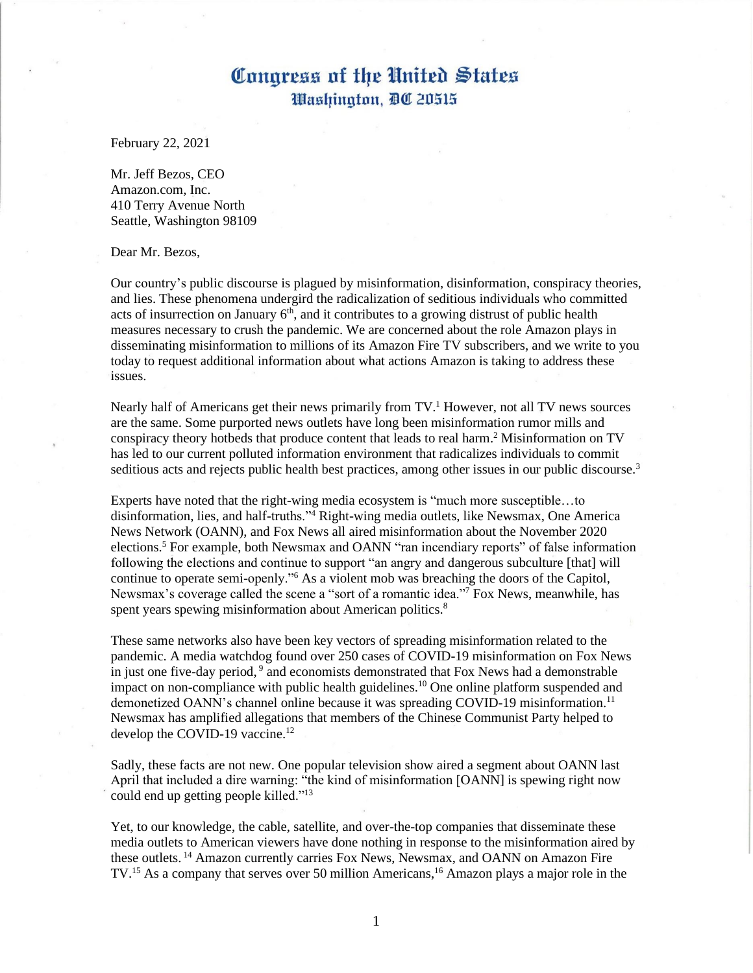February 22, 2021

Mr. Jeff Bezos, CEO Amazon.com, Inc. 410 Terry Avenue North Seattle, Washington 98109

Dear Mr. Bezos,

Our country's public discourse is plagued by misinformation, disinformation, conspiracy theories, and lies. These phenomena undergird the radicalization of seditious individuals who committed acts of insurrection on January  $6<sup>th</sup>$ , and it contributes to a growing distrust of public health measures necessary to crush the pandemic. We are concerned about the role Amazon plays in disseminating misinformation to millions of its Amazon Fire TV subscribers, and we write to you today to request additional information about what actions Amazon is taking to address these issues.

Nearly half of Americans get their news primarily from  $TV<sup>1</sup>$  However, not all TV news sources are the same. Some purported news outlets have long been misinformation rumor mills and conspiracy theory hotbeds that produce content that leads to real harm. <sup>2</sup> Misinformation on TV has led to our current polluted information environment that radicalizes individuals to commit seditious acts and rejects public health best practices, among other issues in our public discourse.<sup>3</sup>

Experts have noted that the right-wing media ecosystem is "much more susceptible…to disinformation, lies, and half-truths."<sup>4</sup> Right-wing media outlets, like Newsmax, One America News Network (OANN), and Fox News all aired misinformation about the November 2020 elections.<sup>5</sup> For example, both Newsmax and OANN "ran incendiary reports" of false information following the elections and continue to support "an angry and dangerous subculture [that] will continue to operate semi-openly."<sup>6</sup> As a violent mob was breaching the doors of the Capitol, Newsmax's coverage called the scene a "sort of a romantic idea."<sup>7</sup> Fox News, meanwhile, has spent years spewing misinformation about American politics.<sup>8</sup>

These same networks also have been key vectors of spreading misinformation related to the pandemic. A media watchdog found over 250 cases of COVID-19 misinformation on Fox News in just one five-day period, 9 and economists demonstrated that Fox News had a demonstrable impact on non-compliance with public health guidelines.<sup>10</sup> One online platform suspended and demonetized OANN's channel online because it was spreading COVID-19 misinformation.<sup>11</sup> Newsmax has amplified allegations that members of the Chinese Communist Party helped to develop the COVID-19 vaccine.<sup>12</sup>

Sadly, these facts are not new. One popular television show aired a segment about OANN last April that included a dire warning: "the kind of misinformation [OANN] is spewing right now could end up getting people killed."<sup>13</sup>

Yet, to our knowledge, the cable, satellite, and over-the-top companies that disseminate these media outlets to American viewers have done nothing in response to the misinformation aired by these outlets. <sup>14</sup> Amazon currently carries Fox News, Newsmax, and OANN on Amazon Fire TV.<sup>15</sup> As a company that serves over 50 million Americans,<sup>16</sup> Amazon plays a major role in the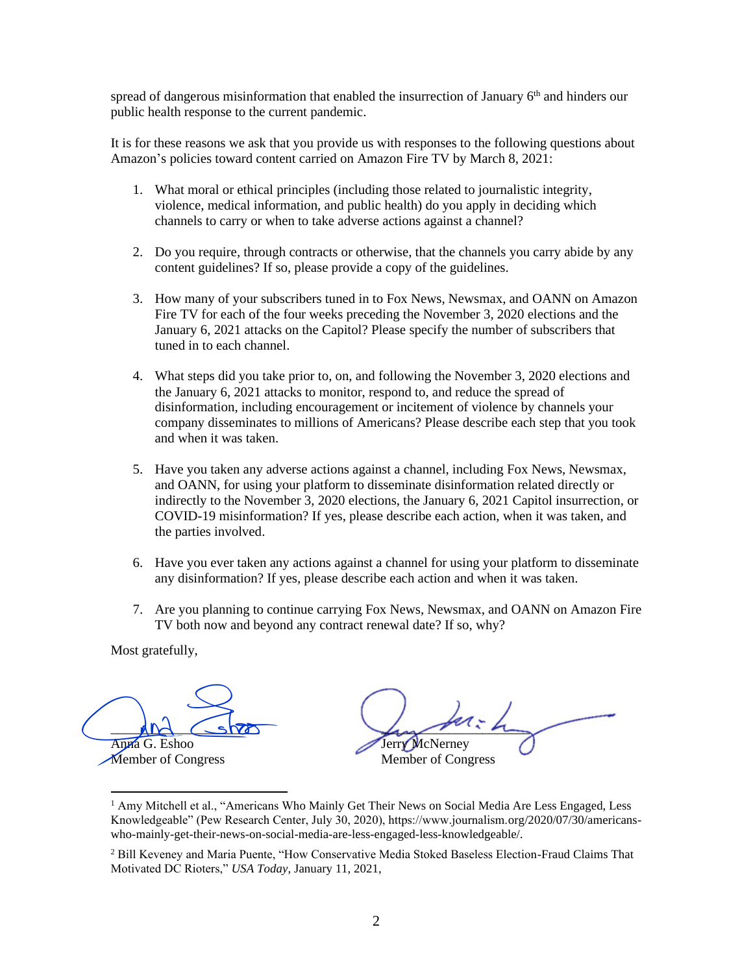spread of dangerous misinformation that enabled the insurrection of January 6<sup>th</sup> and hinders our public health response to the current pandemic.

It is for these reasons we ask that you provide us with responses to the following questions about Amazon's policies toward content carried on Amazon Fire TV by March 8, 2021:

- 1. What moral or ethical principles (including those related to journalistic integrity, violence, medical information, and public health) do you apply in deciding which channels to carry or when to take adverse actions against a channel?
- 2. Do you require, through contracts or otherwise, that the channels you carry abide by any content guidelines? If so, please provide a copy of the guidelines.
- 3. How many of your subscribers tuned in to Fox News, Newsmax, and OANN on Amazon Fire TV for each of the four weeks preceding the November 3, 2020 elections and the January 6, 2021 attacks on the Capitol? Please specify the number of subscribers that tuned in to each channel.
- 4. What steps did you take prior to, on, and following the November 3, 2020 elections and the January 6, 2021 attacks to monitor, respond to, and reduce the spread of disinformation, including encouragement or incitement of violence by channels your company disseminates to millions of Americans? Please describe each step that you took and when it was taken.
- 5. Have you taken any adverse actions against a channel, including Fox News, Newsmax, and OANN, for using your platform to disseminate disinformation related directly or indirectly to the November 3, 2020 elections, the January 6, 2021 Capitol insurrection, or COVID-19 misinformation? If yes, please describe each action, when it was taken, and the parties involved.
- 6. Have you ever taken any actions against a channel for using your platform to disseminate any disinformation? If yes, please describe each action and when it was taken.
- 7. Are you planning to continue carrying Fox News, Newsmax, and OANN on Amazon Fire TV both now and beyond any contract renewal date? If so, why?

 $MN \sim$ Anna G. Eshoo And Show<br>Anna G. Eshoo<br>Member of Congress

 $L_{\rm max}$  and the Jerry McNerney Member of Congress

<sup>&</sup>lt;sup>1</sup> Amy Mitchell et al., "Americans Who Mainly Get Their News on Social Media Are Less Engaged, Less Knowledgeable" (Pew Research Center, July 30, 2020), https://www.journalism.org/2020/07/30/americanswho-mainly-get-their-news-on-social-media-are-less-engaged-less-knowledgeable/.

<sup>&</sup>lt;sup>2</sup> Bill Keveney and Maria Puente, "How Conservative Media Stoked Baseless Election-Fraud Claims That Motivated DC Rioters," *USA Today*, January 11, 2021,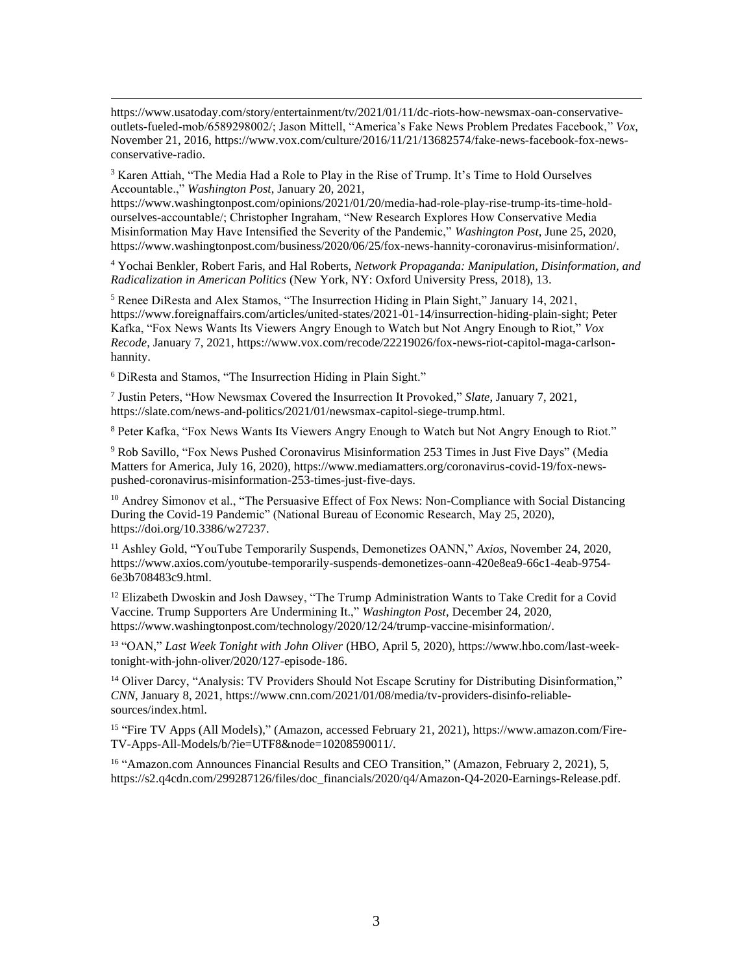$3$  Karen Attiah, "The Media Had a Role to Play in the Rise of Trump. It's Time to Hold Ourselves Accountable.," *Washington Post*, January 20, 2021,

https://www.washingtonpost.com/opinions/2021/01/20/media-had-role-play-rise-trump-its-time-holdourselves-accountable/; Christopher Ingraham, "New Research Explores How Conservative Media Misinformation May Have Intensified the Severity of the Pandemic," *Washington Post*, June 25, 2020, https://www.washingtonpost.com/business/2020/06/25/fox-news-hannity-coronavirus-misinformation/.

<sup>4</sup> Yochai Benkler, Robert Faris, and Hal Roberts, *Network Propaganda: Manipulation, Disinformation, and Radicalization in American Politics* (New York, NY: Oxford University Press, 2018), 13.

<sup>5</sup> Renee DiResta and Alex Stamos, "The Insurrection Hiding in Plain Sight," January 14, 2021, https://www.foreignaffairs.com/articles/united-states/2021-01-14/insurrection-hiding-plain-sight; Peter Kafka, "Fox News Wants Its Viewers Angry Enough to Watch but Not Angry Enough to Riot," *Vox Recode*, January 7, 2021, https://www.vox.com/recode/22219026/fox-news-riot-capitol-maga-carlsonhannity.

<sup>6</sup> DiResta and Stamos, "The Insurrection Hiding in Plain Sight."

7 Justin Peters, "How Newsmax Covered the Insurrection It Provoked," *Slate*, January 7, 2021, https://slate.com/news-and-politics/2021/01/newsmax-capitol-siege-trump.html.

<sup>8</sup> Peter Kafka, "Fox News Wants Its Viewers Angry Enough to Watch but Not Angry Enough to Riot."

<sup>9</sup> Rob Savillo, "Fox News Pushed Coronavirus Misinformation 253 Times in Just Five Days" (Media Matters for America, July 16, 2020), https://www.mediamatters.org/coronavirus-covid-19/fox-newspushed-coronavirus-misinformation-253-times-just-five-days.

<sup>10</sup> Andrey Simonov et al., "The Persuasive Effect of Fox News: Non-Compliance with Social Distancing During the Covid-19 Pandemic" (National Bureau of Economic Research, May 25, 2020), https://doi.org/10.3386/w27237.

<sup>11</sup> Ashley Gold, "YouTube Temporarily Suspends, Demonetizes OANN," *Axios*, November 24, 2020, https://www.axios.com/youtube-temporarily-suspends-demonetizes-oann-420e8ea9-66c1-4eab-9754- 6e3b708483c9.html.

<sup>12</sup> Elizabeth Dwoskin and Josh Dawsey, "The Trump Administration Wants to Take Credit for a Covid Vaccine. Trump Supporters Are Undermining It.," *Washington Post*, December 24, 2020, https://www.washingtonpost.com/technology/2020/12/24/trump-vaccine-misinformation/.

<sup>13</sup> "OAN," *Last Week Tonight with John Oliver* (HBO, April 5, 2020), https://www.hbo.com/last-weektonight-with-john-oliver/2020/127-episode-186.

<sup>14</sup> Oliver Darcy, "Analysis: TV Providers Should Not Escape Scrutiny for Distributing Disinformation," *CNN*, January 8, 2021, https://www.cnn.com/2021/01/08/media/tv-providers-disinfo-reliablesources/index.html.

<sup>15</sup> "Fire TV Apps (All Models)," (Amazon, accessed February 21, 2021), https://www.amazon.com/Fire-TV-Apps-All-Models/b/?ie=UTF8&node=10208590011/.

<sup>16</sup> "Amazon.com Announces Financial Results and CEO Transition," (Amazon, February 2, 2021), 5, https://s2.q4cdn.com/299287126/files/doc\_financials/2020/q4/Amazon-Q4-2020-Earnings-Release.pdf.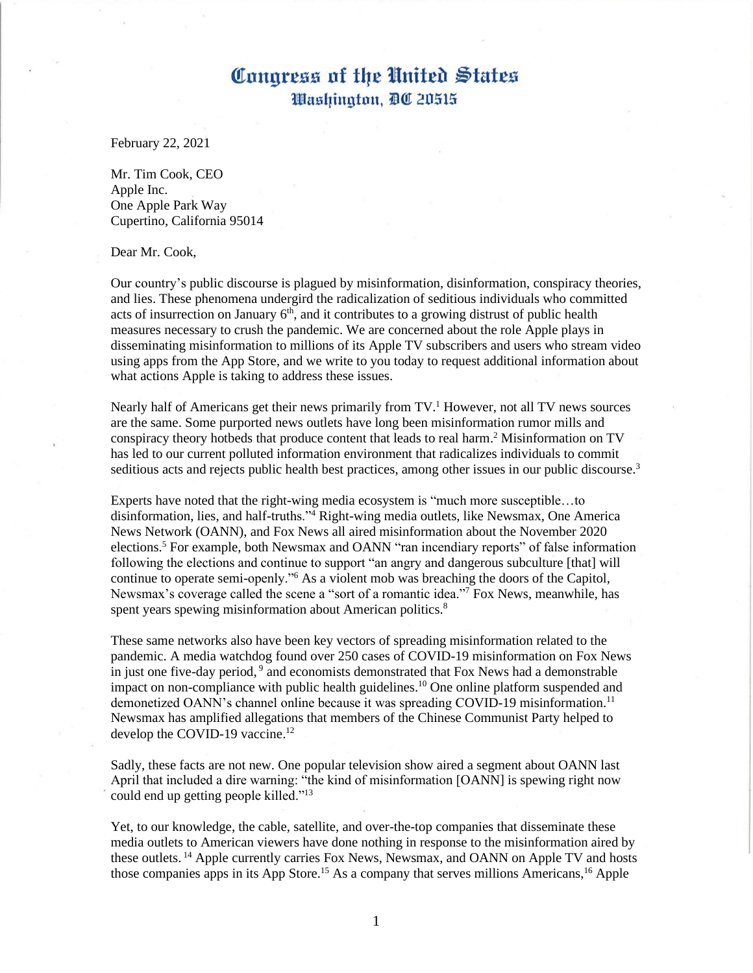February 22, 2021

Mr. Tim Cook, CEO Apple Inc. One Apple Park Way Cupertino, California 95014

Dear Mr. Cook,

Our country's public discourse is plagued by misinformation, disinformation, conspiracy theories, and lies. These phenomena undergird the radicalization of seditious individuals who committed acts of insurrection on January  $6<sup>th</sup>$ , and it contributes to a growing distrust of public health measures necessary to crush the pandemic. We are concerned about the role Apple plays in disseminating misinformation to millions of its Apple TV subscribers and users who stream video using apps from the App Store, and we write to you today to request additional information about what actions Apple is taking to address these issues.

Nearly half of Americans get their news primarily from  $TV<sup>1</sup>$  However, not all TV news sources are the same. Some purported news outlets have long been misinformation rumor mills and conspiracy theory hotbeds that produce content that leads to real harm. <sup>2</sup> Misinformation on TV has led to our current polluted information environment that radicalizes individuals to commit seditious acts and rejects public health best practices, among other issues in our public discourse.<sup>3</sup>

Experts have noted that the right-wing media ecosystem is "much more susceptible…to disinformation, lies, and half-truths."<sup>4</sup> Right-wing media outlets, like Newsmax, One America News Network (OANN), and Fox News all aired misinformation about the November 2020 elections.<sup>5</sup> For example, both Newsmax and OANN "ran incendiary reports" of false information following the elections and continue to support "an angry and dangerous subculture [that] will continue to operate semi-openly."<sup>6</sup> As a violent mob was breaching the doors of the Capitol, Newsmax's coverage called the scene a "sort of a romantic idea."<sup>7</sup> Fox News, meanwhile, has spent years spewing misinformation about American politics.<sup>8</sup>

These same networks also have been key vectors of spreading misinformation related to the pandemic. A media watchdog found over 250 cases of COVID-19 misinformation on Fox News in just one five-day period, 9 and economists demonstrated that Fox News had a demonstrable impact on non-compliance with public health guidelines.<sup>10</sup> One online platform suspended and demonetized OANN's channel online because it was spreading COVID-19 misinformation.<sup>11</sup> Newsmax has amplified allegations that members of the Chinese Communist Party helped to develop the COVID-19 vaccine.<sup>12</sup>

Sadly, these facts are not new. One popular television show aired a segment about OANN last April that included a dire warning: "the kind of misinformation [OANN] is spewing right now could end up getting people killed."<sup>13</sup>

Yet, to our knowledge, the cable, satellite, and over-the-top companies that disseminate these media outlets to American viewers have done nothing in response to the misinformation aired by these outlets. <sup>14</sup> Apple currently carries Fox News, Newsmax, and OANN on Apple TV and hosts those companies apps in its App Store.<sup>15</sup> As a company that serves millions Americans,<sup>16</sup> Apple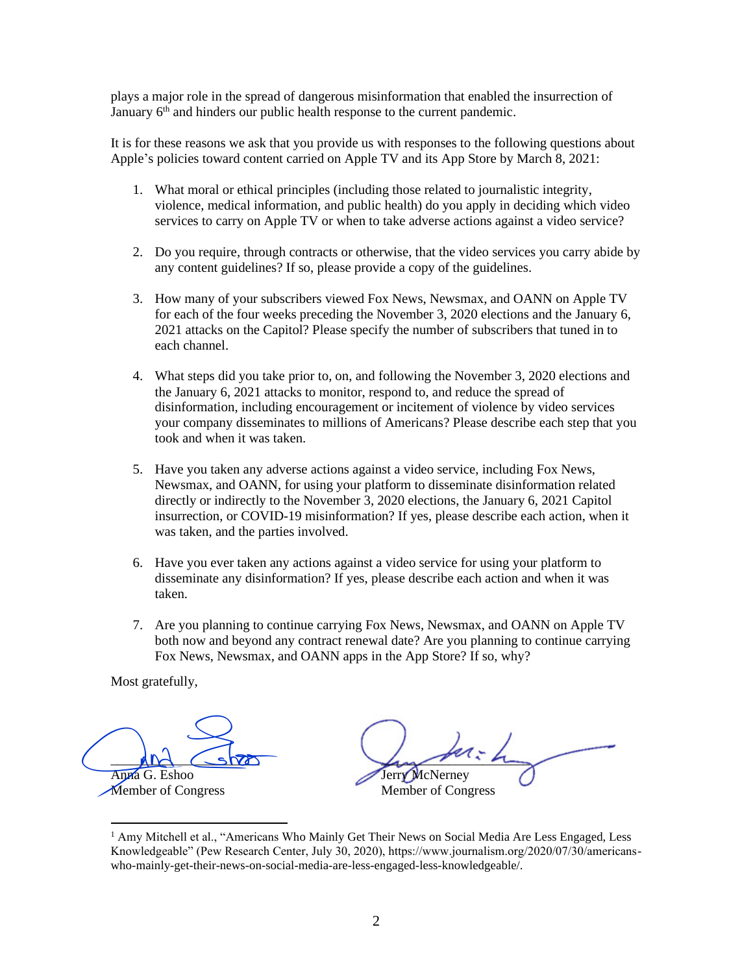plays a major role in the spread of dangerous misinformation that enabled the insurrection of January  $6<sup>th</sup>$  and hinders our public health response to the current pandemic.

It is for these reasons we ask that you provide us with responses to the following questions about Apple's policies toward content carried on Apple TV and its App Store by March 8, 2021:

- 1. What moral or ethical principles (including those related to journalistic integrity, violence, medical information, and public health) do you apply in deciding which video services to carry on Apple TV or when to take adverse actions against a video service?
- 2. Do you require, through contracts or otherwise, that the video services you carry abide by any content guidelines? If so, please provide a copy of the guidelines.
- 3. How many of your subscribers viewed Fox News, Newsmax, and OANN on Apple TV for each of the four weeks preceding the November 3, 2020 elections and the January 6, 2021 attacks on the Capitol? Please specify the number of subscribers that tuned in to each channel.
- 4. What steps did you take prior to, on, and following the November 3, 2020 elections and the January 6, 2021 attacks to monitor, respond to, and reduce the spread of disinformation, including encouragement or incitement of violence by video services your company disseminates to millions of Americans? Please describe each step that you took and when it was taken.
- 5. Have you taken any adverse actions against a video service, including Fox News, Newsmax, and OANN, for using your platform to disseminate disinformation related directly or indirectly to the November 3, 2020 elections, the January 6, 2021 Capitol insurrection, or COVID-19 misinformation? If yes, please describe each action, when it was taken, and the parties involved.
- 6. Have you ever taken any actions against a video service for using your platform to disseminate any disinformation? If yes, please describe each action and when it was taken.
- 7. Are you planning to continue carrying Fox News, Newsmax, and OANN on Apple TV both now and beyond any contract renewal date? Are you planning to continue carrying Fox News, Newsmax, and OANN apps in the App Store? If so, why?

 $MN \sim$ Anna G. Eshoo

Member of Congress

 $L_{\rm max}$  and the Jerry McNerney Member of Congress Anna G. Eshoo<br>
Member of Congress<br>
Member of Congress<br>
Anny Mitchell et al., "Americans Who Mainly Get Their News on Social Media Are Less Engaged, Less<br>
Knowledgeable" (Pew Research Center, July 30, 2020), https://www.jou

<sup>&</sup>lt;sup>1</sup> Amy Mitchell et al., "Americans Who Mainly Get Their News on Social Media Are Less Engaged, Less Knowledgeable" (Pew Research Center, July 30, 2020), https://www.journalism.org/2020/07/30/americanswho-mainly-get-their-news-on-social-media-are-less-engaged-less-knowledgeable/.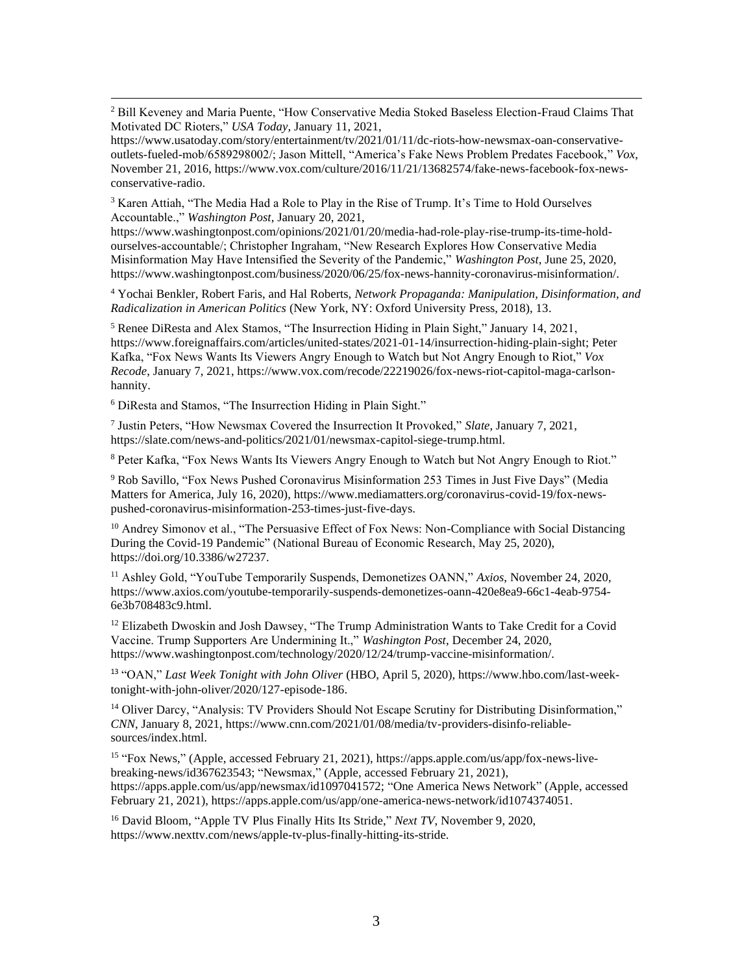<sup>2</sup> Bill Keveney and Maria Puente, "How Conservative Media Stoked Baseless Election-Fraud Claims That Motivated DC Rioters," *USA Today*, January 11, 2021,

https://www.usatoday.com/story/entertainment/tv/2021/01/11/dc-riots-how-newsmax-oan-conservativeoutlets-fueled-mob/6589298002/; Jason Mittell, "America's Fake News Problem Predates Facebook," *Vox*, November 21, 2016, https://www.vox.com/culture/2016/11/21/13682574/fake-news-facebook-fox-newsconservative-radio.

<sup>3</sup> Karen Attiah, "The Media Had a Role to Play in the Rise of Trump. It's Time to Hold Ourselves Accountable.," *Washington Post*, January 20, 2021,

https://www.washingtonpost.com/opinions/2021/01/20/media-had-role-play-rise-trump-its-time-holdourselves-accountable/; Christopher Ingraham, "New Research Explores How Conservative Media Misinformation May Have Intensified the Severity of the Pandemic," *Washington Post*, June 25, 2020, https://www.washingtonpost.com/business/2020/06/25/fox-news-hannity-coronavirus-misinformation/.

<sup>4</sup> Yochai Benkler, Robert Faris, and Hal Roberts, *Network Propaganda: Manipulation, Disinformation, and Radicalization in American Politics* (New York, NY: Oxford University Press, 2018), 13.

<sup>5</sup> Renee DiResta and Alex Stamos, "The Insurrection Hiding in Plain Sight," January 14, 2021, https://www.foreignaffairs.com/articles/united-states/2021-01-14/insurrection-hiding-plain-sight; Peter Kafka, "Fox News Wants Its Viewers Angry Enough to Watch but Not Angry Enough to Riot," *Vox Recode*, January 7, 2021, https://www.vox.com/recode/22219026/fox-news-riot-capitol-maga-carlsonhannity.

<sup>6</sup> DiResta and Stamos, "The Insurrection Hiding in Plain Sight."

7 Justin Peters, "How Newsmax Covered the Insurrection It Provoked," *Slate*, January 7, 2021, https://slate.com/news-and-politics/2021/01/newsmax-capitol-siege-trump.html.

<sup>8</sup> Peter Kafka, "Fox News Wants Its Viewers Angry Enough to Watch but Not Angry Enough to Riot."

<sup>9</sup> Rob Savillo, "Fox News Pushed Coronavirus Misinformation 253 Times in Just Five Days" (Media Matters for America, July 16, 2020), https://www.mediamatters.org/coronavirus-covid-19/fox-newspushed-coronavirus-misinformation-253-times-just-five-days.

<sup>10</sup> Andrey Simonov et al., "The Persuasive Effect of Fox News: Non-Compliance with Social Distancing During the Covid-19 Pandemic" (National Bureau of Economic Research, May 25, 2020), https://doi.org/10.3386/w27237.

<sup>11</sup> Ashley Gold, "YouTube Temporarily Suspends, Demonetizes OANN," *Axios*, November 24, 2020, https://www.axios.com/youtube-temporarily-suspends-demonetizes-oann-420e8ea9-66c1-4eab-9754- 6e3b708483c9.html.

 $12$  Elizabeth Dwoskin and Josh Dawsey, "The Trump Administration Wants to Take Credit for a Covid Vaccine. Trump Supporters Are Undermining It.," *Washington Post*, December 24, 2020, https://www.washingtonpost.com/technology/2020/12/24/trump-vaccine-misinformation/.

<sup>13</sup> "OAN," *Last Week Tonight with John Oliver* (HBO, April 5, 2020), https://www.hbo.com/last-weektonight-with-john-oliver/2020/127-episode-186.

<sup>14</sup> Oliver Darcy, "Analysis: TV Providers Should Not Escape Scrutiny for Distributing Disinformation," *CNN*, January 8, 2021, https://www.cnn.com/2021/01/08/media/tv-providers-disinfo-reliablesources/index.html.

<sup>15</sup> "Fox News," (Apple, accessed February 21, 2021), https://apps.apple.com/us/app/fox-news-livebreaking-news/id367623543; "Newsmax," (Apple, accessed February 21, 2021), https://apps.apple.com/us/app/newsmax/id1097041572; "One America News Network" (Apple, accessed February 21, 2021), https://apps.apple.com/us/app/one-america-news-network/id1074374051.

<sup>16</sup> David Bloom, "Apple TV Plus Finally Hits Its Stride," *Next TV*, November 9, 2020, https://www.nexttv.com/news/apple-tv-plus-finally-hitting-its-stride.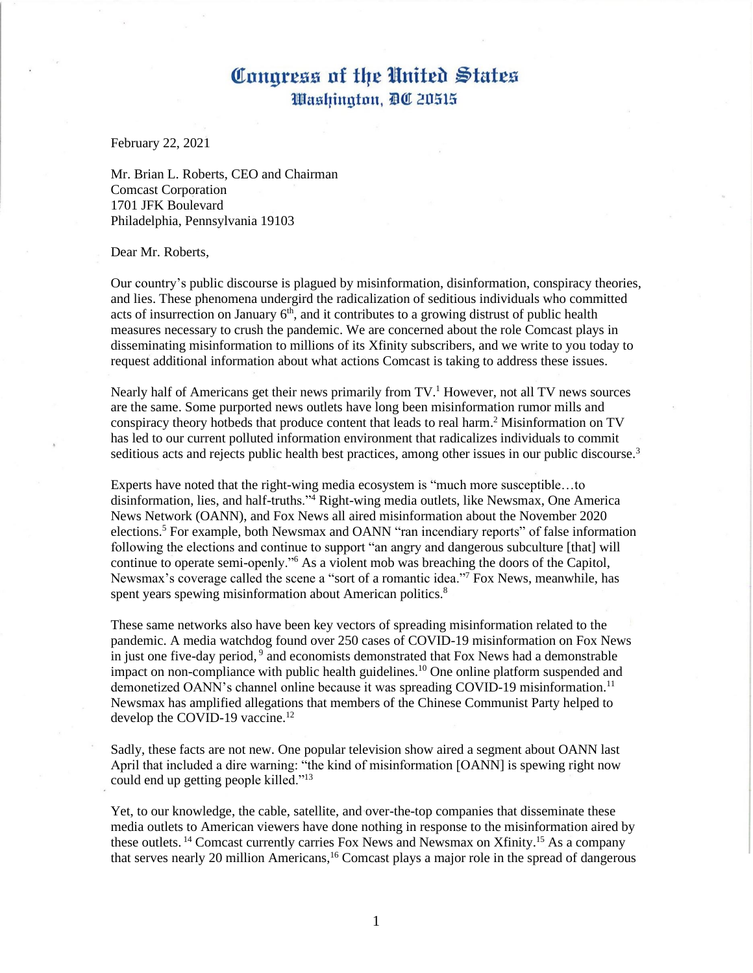February 22, 2021

Mr. Brian L. Roberts, CEO and Chairman Comcast Corporation 1701 JFK Boulevard Philadelphia, Pennsylvania 19103

Dear Mr. Roberts,

Our country's public discourse is plagued by misinformation, disinformation, conspiracy theories, and lies. These phenomena undergird the radicalization of seditious individuals who committed acts of insurrection on January  $6<sup>th</sup>$ , and it contributes to a growing distrust of public health measures necessary to crush the pandemic. We are concerned about the role Comcast plays in disseminating misinformation to millions of its Xfinity subscribers, and we write to you today to request additional information about what actions Comcast is taking to address these issues.

Nearly half of Americans get their news primarily from  $TV<sup>1</sup>$  However, not all TV news sources are the same. Some purported news outlets have long been misinformation rumor mills and conspiracy theory hotbeds that produce content that leads to real harm. <sup>2</sup> Misinformation on TV has led to our current polluted information environment that radicalizes individuals to commit seditious acts and rejects public health best practices, among other issues in our public discourse.<sup>3</sup>

Experts have noted that the right-wing media ecosystem is "much more susceptible…to disinformation, lies, and half-truths."<sup>4</sup> Right-wing media outlets, like Newsmax, One America News Network (OANN), and Fox News all aired misinformation about the November 2020 elections.<sup>5</sup> For example, both Newsmax and OANN "ran incendiary reports" of false information following the elections and continue to support "an angry and dangerous subculture [that] will continue to operate semi-openly."<sup>6</sup> As a violent mob was breaching the doors of the Capitol, Newsmax's coverage called the scene a "sort of a romantic idea."<sup>7</sup> Fox News, meanwhile, has spent years spewing misinformation about American politics.<sup>8</sup>

These same networks also have been key vectors of spreading misinformation related to the pandemic. A media watchdog found over 250 cases of COVID-19 misinformation on Fox News in just one five-day period, 9 and economists demonstrated that Fox News had a demonstrable impact on non-compliance with public health guidelines.<sup>10</sup> One online platform suspended and demonetized OANN's channel online because it was spreading COVID-19 misinformation.<sup>11</sup> Newsmax has amplified allegations that members of the Chinese Communist Party helped to develop the COVID-19 vaccine.<sup>12</sup>

Sadly, these facts are not new. One popular television show aired a segment about OANN last April that included a dire warning: "the kind of misinformation [OANN] is spewing right now could end up getting people killed."<sup>13</sup>

Yet, to our knowledge, the cable, satellite, and over-the-top companies that disseminate these media outlets to American viewers have done nothing in response to the misinformation aired by these outlets.<sup>14</sup> Comcast currently carries Fox News and Newsmax on Xfinity.<sup>15</sup> As a company that serves nearly 20 million Americans,<sup>16</sup> Comcast plays a major role in the spread of dangerous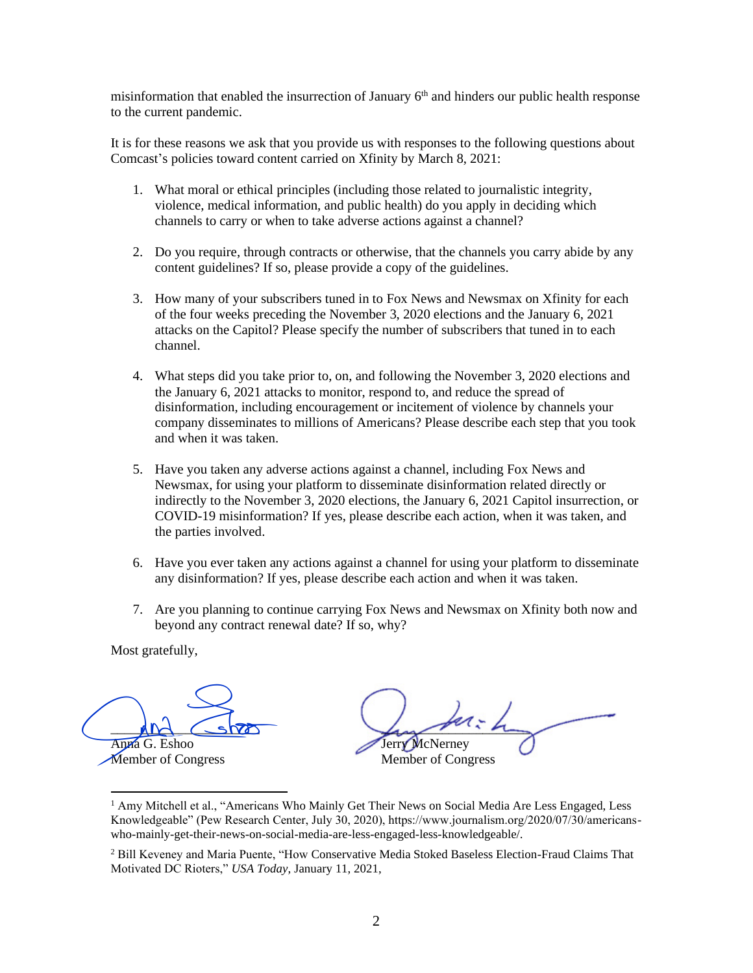misinformation that enabled the insurrection of January  $6<sup>th</sup>$  and hinders our public health response to the current pandemic.

It is for these reasons we ask that you provide us with responses to the following questions about Comcast's policies toward content carried on Xfinity by March 8, 2021:

- 1. What moral or ethical principles (including those related to journalistic integrity, violence, medical information, and public health) do you apply in deciding which channels to carry or when to take adverse actions against a channel?
- 2. Do you require, through contracts or otherwise, that the channels you carry abide by any content guidelines? If so, please provide a copy of the guidelines.
- 3. How many of your subscribers tuned in to Fox News and Newsmax on Xfinity for each of the four weeks preceding the November 3, 2020 elections and the January 6, 2021 attacks on the Capitol? Please specify the number of subscribers that tuned in to each channel.
- 4. What steps did you take prior to, on, and following the November 3, 2020 elections and the January 6, 2021 attacks to monitor, respond to, and reduce the spread of disinformation, including encouragement or incitement of violence by channels your company disseminates to millions of Americans? Please describe each step that you took and when it was taken.
- 5. Have you taken any adverse actions against a channel, including Fox News and Newsmax, for using your platform to disseminate disinformation related directly or indirectly to the November 3, 2020 elections, the January 6, 2021 Capitol insurrection, or COVID-19 misinformation? If yes, please describe each action, when it was taken, and the parties involved.
- 6. Have you ever taken any actions against a channel for using your platform to disseminate any disinformation? If yes, please describe each action and when it was taken.
- 7. Are you planning to continue carrying Fox News and Newsmax on Xfinity both now and beyond any contract renewal date? If so, why?

 $MN \sim$ Anna G. Eshoo And Show<br>Anna G. Eshoo<br>Member of Congress

 $L_{\rm max}$  and the Jerry McNerney Member of Congress

<sup>&</sup>lt;sup>1</sup> Amy Mitchell et al., "Americans Who Mainly Get Their News on Social Media Are Less Engaged, Less Knowledgeable" (Pew Research Center, July 30, 2020), https://www.journalism.org/2020/07/30/americanswho-mainly-get-their-news-on-social-media-are-less-engaged-less-knowledgeable/.

<sup>&</sup>lt;sup>2</sup> Bill Keveney and Maria Puente, "How Conservative Media Stoked Baseless Election-Fraud Claims That Motivated DC Rioters," *USA Today*, January 11, 2021,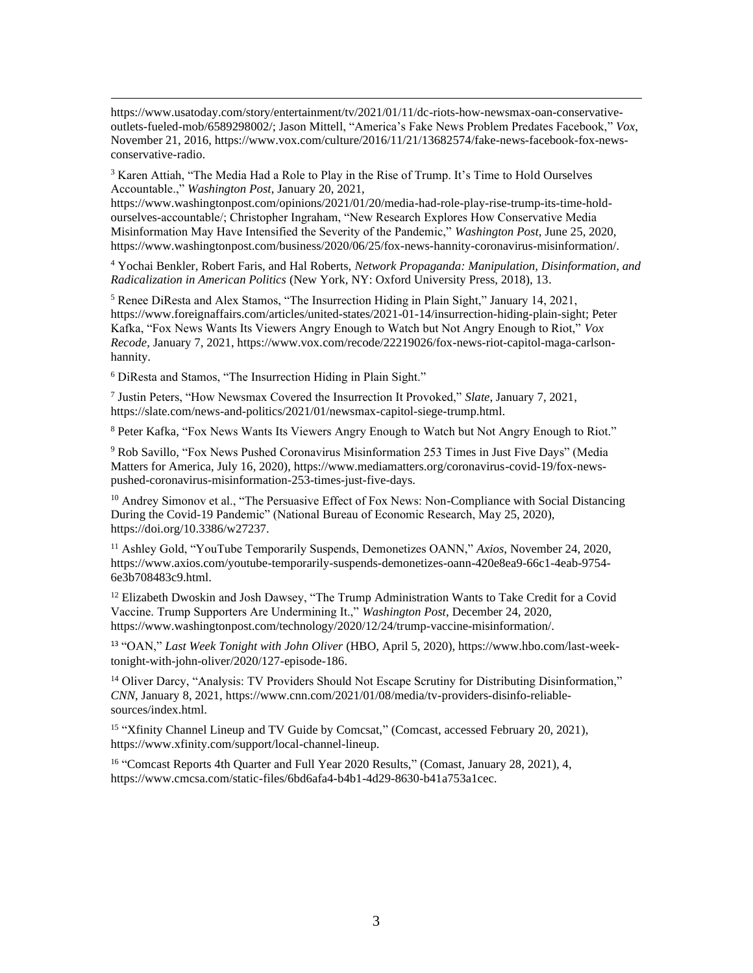$3$  Karen Attiah, "The Media Had a Role to Play in the Rise of Trump. It's Time to Hold Ourselves Accountable.," *Washington Post*, January 20, 2021,

https://www.washingtonpost.com/opinions/2021/01/20/media-had-role-play-rise-trump-its-time-holdourselves-accountable/; Christopher Ingraham, "New Research Explores How Conservative Media Misinformation May Have Intensified the Severity of the Pandemic," *Washington Post*, June 25, 2020, https://www.washingtonpost.com/business/2020/06/25/fox-news-hannity-coronavirus-misinformation/.

<sup>4</sup> Yochai Benkler, Robert Faris, and Hal Roberts, *Network Propaganda: Manipulation, Disinformation, and Radicalization in American Politics* (New York, NY: Oxford University Press, 2018), 13.

<sup>5</sup> Renee DiResta and Alex Stamos, "The Insurrection Hiding in Plain Sight," January 14, 2021, https://www.foreignaffairs.com/articles/united-states/2021-01-14/insurrection-hiding-plain-sight; Peter Kafka, "Fox News Wants Its Viewers Angry Enough to Watch but Not Angry Enough to Riot," *Vox Recode*, January 7, 2021, https://www.vox.com/recode/22219026/fox-news-riot-capitol-maga-carlsonhannity.

<sup>6</sup> DiResta and Stamos, "The Insurrection Hiding in Plain Sight."

7 Justin Peters, "How Newsmax Covered the Insurrection It Provoked," *Slate*, January 7, 2021, https://slate.com/news-and-politics/2021/01/newsmax-capitol-siege-trump.html.

<sup>8</sup> Peter Kafka, "Fox News Wants Its Viewers Angry Enough to Watch but Not Angry Enough to Riot."

<sup>9</sup> Rob Savillo, "Fox News Pushed Coronavirus Misinformation 253 Times in Just Five Days" (Media Matters for America, July 16, 2020), https://www.mediamatters.org/coronavirus-covid-19/fox-newspushed-coronavirus-misinformation-253-times-just-five-days.

<sup>10</sup> Andrey Simonov et al., "The Persuasive Effect of Fox News: Non-Compliance with Social Distancing During the Covid-19 Pandemic" (National Bureau of Economic Research, May 25, 2020), https://doi.org/10.3386/w27237.

<sup>11</sup> Ashley Gold, "YouTube Temporarily Suspends, Demonetizes OANN," *Axios*, November 24, 2020, https://www.axios.com/youtube-temporarily-suspends-demonetizes-oann-420e8ea9-66c1-4eab-9754- 6e3b708483c9.html.

<sup>12</sup> Elizabeth Dwoskin and Josh Dawsey, "The Trump Administration Wants to Take Credit for a Covid Vaccine. Trump Supporters Are Undermining It.," *Washington Post*, December 24, 2020, https://www.washingtonpost.com/technology/2020/12/24/trump-vaccine-misinformation/.

<sup>13</sup> "OAN," *Last Week Tonight with John Oliver* (HBO, April 5, 2020), https://www.hbo.com/last-weektonight-with-john-oliver/2020/127-episode-186.

<sup>14</sup> Oliver Darcy, "Analysis: TV Providers Should Not Escape Scrutiny for Distributing Disinformation," *CNN*, January 8, 2021, https://www.cnn.com/2021/01/08/media/tv-providers-disinfo-reliablesources/index.html.

<sup>15</sup> "Xfinity Channel Lineup and TV Guide by Comcsat," (Comcast, accessed February 20, 2021), https://www.xfinity.com/support/local-channel-lineup.

<sup>16</sup> "Comcast Reports 4th Quarter and Full Year 2020 Results," (Comast, January 28, 2021), 4, https://www.cmcsa.com/static-files/6bd6afa4-b4b1-4d29-8630-b41a753a1cec.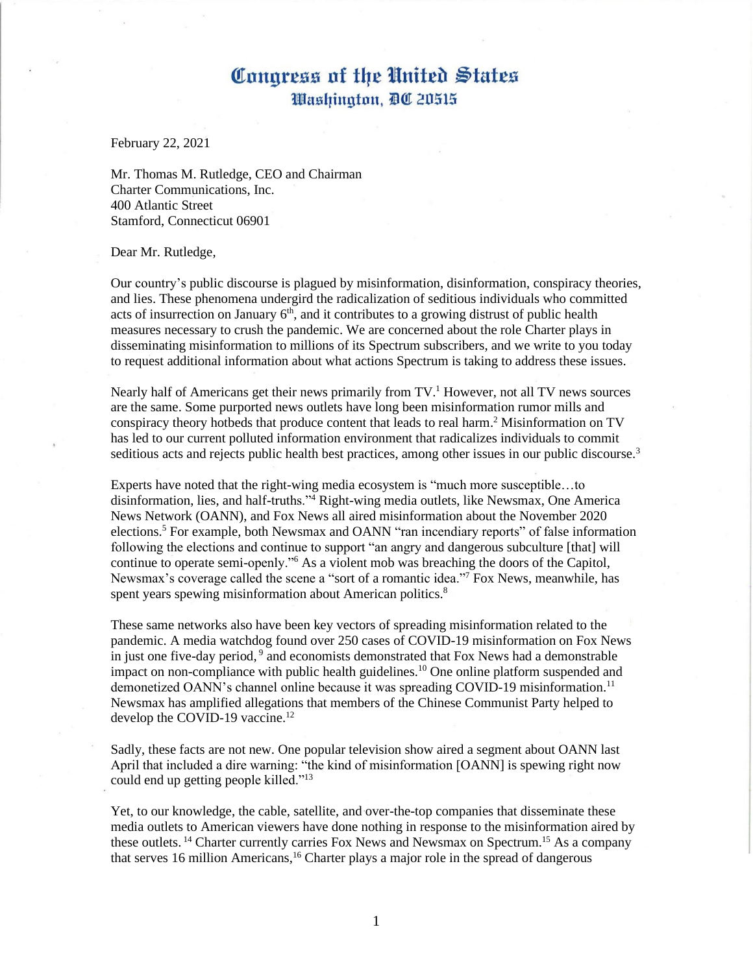February 22, 2021

Mr. Thomas M. Rutledge, CEO and Chairman Charter Communications, Inc. 400 Atlantic Street Stamford, Connecticut 06901

#### Dear Mr. Rutledge,

Our country's public discourse is plagued by misinformation, disinformation, conspiracy theories, and lies. These phenomena undergird the radicalization of seditious individuals who committed acts of insurrection on January  $6<sup>th</sup>$ , and it contributes to a growing distrust of public health measures necessary to crush the pandemic. We are concerned about the role Charter plays in disseminating misinformation to millions of its Spectrum subscribers, and we write to you today to request additional information about what actions Spectrum is taking to address these issues.

Nearly half of Americans get their news primarily from  $TV<sup>1</sup>$  However, not all TV news sources are the same. Some purported news outlets have long been misinformation rumor mills and conspiracy theory hotbeds that produce content that leads to real harm. <sup>2</sup> Misinformation on TV has led to our current polluted information environment that radicalizes individuals to commit seditious acts and rejects public health best practices, among other issues in our public discourse.<sup>3</sup>

Experts have noted that the right-wing media ecosystem is "much more susceptible…to disinformation, lies, and half-truths."<sup>4</sup> Right-wing media outlets, like Newsmax, One America News Network (OANN), and Fox News all aired misinformation about the November 2020 elections.<sup>5</sup> For example, both Newsmax and OANN "ran incendiary reports" of false information following the elections and continue to support "an angry and dangerous subculture [that] will continue to operate semi-openly."<sup>6</sup> As a violent mob was breaching the doors of the Capitol, Newsmax's coverage called the scene a "sort of a romantic idea."<sup>7</sup> Fox News, meanwhile, has spent years spewing misinformation about American politics.<sup>8</sup>

These same networks also have been key vectors of spreading misinformation related to the pandemic. A media watchdog found over 250 cases of COVID-19 misinformation on Fox News in just one five-day period, 9 and economists demonstrated that Fox News had a demonstrable impact on non-compliance with public health guidelines.<sup>10</sup> One online platform suspended and demonetized OANN's channel online because it was spreading COVID-19 misinformation.<sup>11</sup> Newsmax has amplified allegations that members of the Chinese Communist Party helped to develop the COVID-19 vaccine.<sup>12</sup>

Sadly, these facts are not new. One popular television show aired a segment about OANN last April that included a dire warning: "the kind of misinformation [OANN] is spewing right now could end up getting people killed."<sup>13</sup>

Yet, to our knowledge, the cable, satellite, and over-the-top companies that disseminate these media outlets to American viewers have done nothing in response to the misinformation aired by these outlets.<sup>14</sup> Charter currently carries Fox News and Newsmax on Spectrum.<sup>15</sup> As a company that serves 16 million Americans,<sup>16</sup> Charter plays a major role in the spread of dangerous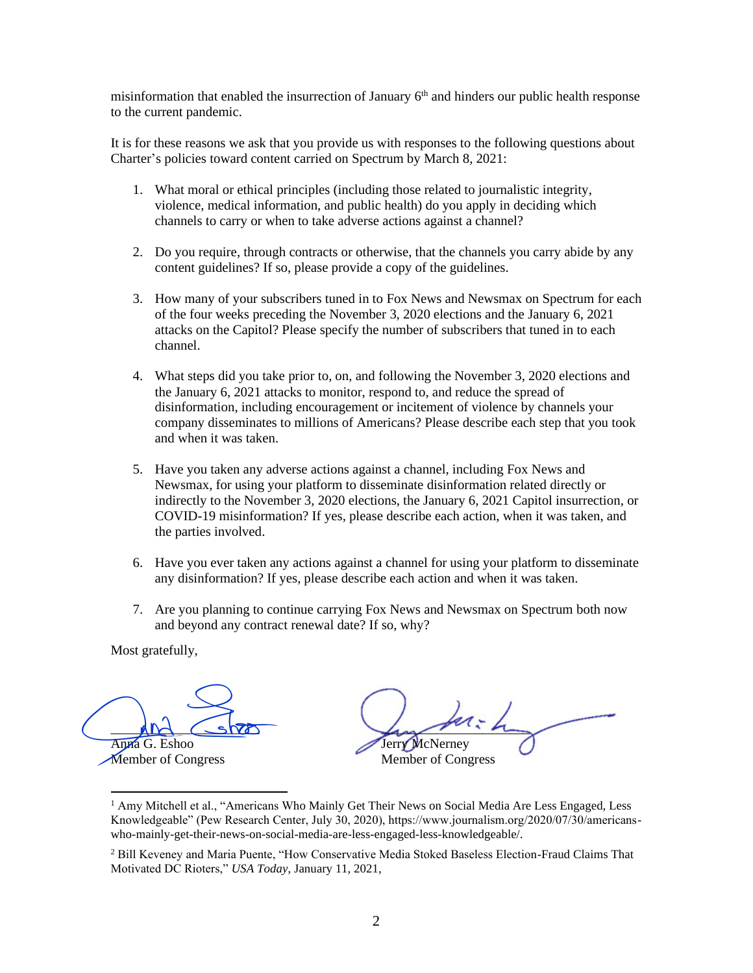misinformation that enabled the insurrection of January  $6<sup>th</sup>$  and hinders our public health response to the current pandemic.

It is for these reasons we ask that you provide us with responses to the following questions about Charter's policies toward content carried on Spectrum by March 8, 2021:

- 1. What moral or ethical principles (including those related to journalistic integrity, violence, medical information, and public health) do you apply in deciding which channels to carry or when to take adverse actions against a channel?
- 2. Do you require, through contracts or otherwise, that the channels you carry abide by any content guidelines? If so, please provide a copy of the guidelines.
- 3. How many of your subscribers tuned in to Fox News and Newsmax on Spectrum for each of the four weeks preceding the November 3, 2020 elections and the January 6, 2021 attacks on the Capitol? Please specify the number of subscribers that tuned in to each channel.
- 4. What steps did you take prior to, on, and following the November 3, 2020 elections and the January 6, 2021 attacks to monitor, respond to, and reduce the spread of disinformation, including encouragement or incitement of violence by channels your company disseminates to millions of Americans? Please describe each step that you took and when it was taken.
- 5. Have you taken any adverse actions against a channel, including Fox News and Newsmax, for using your platform to disseminate disinformation related directly or indirectly to the November 3, 2020 elections, the January 6, 2021 Capitol insurrection, or COVID-19 misinformation? If yes, please describe each action, when it was taken, and the parties involved.
- 6. Have you ever taken any actions against a channel for using your platform to disseminate any disinformation? If yes, please describe each action and when it was taken.
- 7. Are you planning to continue carrying Fox News and Newsmax on Spectrum both now and beyond any contract renewal date? If so, why?

 $MN \sim$ Anna G. Eshoo And Show<br>Anna G. Eshoo<br>Member of Congress

 $L_{\rm max}$  and the Jerry McNerney Member of Congress

<sup>&</sup>lt;sup>1</sup> Amy Mitchell et al., "Americans Who Mainly Get Their News on Social Media Are Less Engaged, Less Knowledgeable" (Pew Research Center, July 30, 2020), https://www.journalism.org/2020/07/30/americanswho-mainly-get-their-news-on-social-media-are-less-engaged-less-knowledgeable/.

<sup>&</sup>lt;sup>2</sup> Bill Keveney and Maria Puente, "How Conservative Media Stoked Baseless Election-Fraud Claims That Motivated DC Rioters," *USA Today*, January 11, 2021,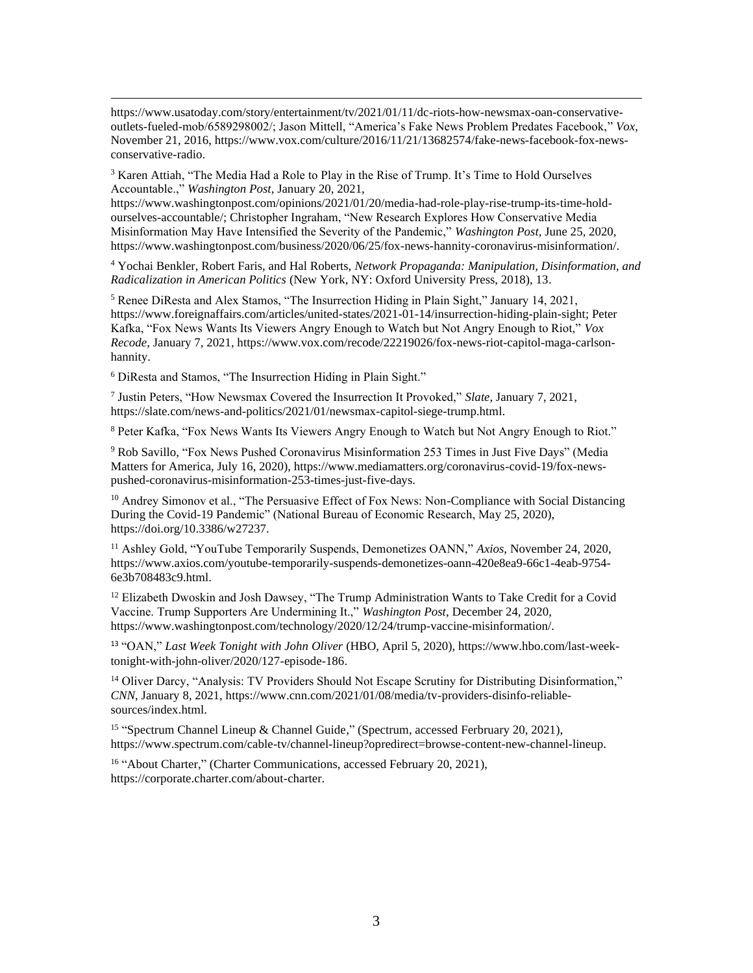$3$  Karen Attiah, "The Media Had a Role to Play in the Rise of Trump. It's Time to Hold Ourselves Accountable.," *Washington Post*, January 20, 2021,

https://www.washingtonpost.com/opinions/2021/01/20/media-had-role-play-rise-trump-its-time-holdourselves-accountable/; Christopher Ingraham, "New Research Explores How Conservative Media Misinformation May Have Intensified the Severity of the Pandemic," *Washington Post*, June 25, 2020, https://www.washingtonpost.com/business/2020/06/25/fox-news-hannity-coronavirus-misinformation/.

<sup>4</sup> Yochai Benkler, Robert Faris, and Hal Roberts, *Network Propaganda: Manipulation, Disinformation, and Radicalization in American Politics* (New York, NY: Oxford University Press, 2018), 13.

<sup>5</sup> Renee DiResta and Alex Stamos, "The Insurrection Hiding in Plain Sight," January 14, 2021, https://www.foreignaffairs.com/articles/united-states/2021-01-14/insurrection-hiding-plain-sight; Peter Kafka, "Fox News Wants Its Viewers Angry Enough to Watch but Not Angry Enough to Riot," *Vox Recode*, January 7, 2021, https://www.vox.com/recode/22219026/fox-news-riot-capitol-maga-carlsonhannity.

<sup>6</sup> DiResta and Stamos, "The Insurrection Hiding in Plain Sight."

7 Justin Peters, "How Newsmax Covered the Insurrection It Provoked," *Slate*, January 7, 2021, https://slate.com/news-and-politics/2021/01/newsmax-capitol-siege-trump.html.

<sup>8</sup> Peter Kafka, "Fox News Wants Its Viewers Angry Enough to Watch but Not Angry Enough to Riot."

<sup>9</sup> Rob Savillo, "Fox News Pushed Coronavirus Misinformation 253 Times in Just Five Days" (Media Matters for America, July 16, 2020), https://www.mediamatters.org/coronavirus-covid-19/fox-newspushed-coronavirus-misinformation-253-times-just-five-days.

<sup>10</sup> Andrey Simonov et al., "The Persuasive Effect of Fox News: Non-Compliance with Social Distancing During the Covid-19 Pandemic" (National Bureau of Economic Research, May 25, 2020), https://doi.org/10.3386/w27237.

<sup>11</sup> Ashley Gold, "YouTube Temporarily Suspends, Demonetizes OANN," *Axios*, November 24, 2020, https://www.axios.com/youtube-temporarily-suspends-demonetizes-oann-420e8ea9-66c1-4eab-9754- 6e3b708483c9.html.

<sup>12</sup> Elizabeth Dwoskin and Josh Dawsey, "The Trump Administration Wants to Take Credit for a Covid Vaccine. Trump Supporters Are Undermining It.," *Washington Post*, December 24, 2020, https://www.washingtonpost.com/technology/2020/12/24/trump-vaccine-misinformation/.

<sup>13</sup> "OAN," *Last Week Tonight with John Oliver* (HBO, April 5, 2020), https://www.hbo.com/last-weektonight-with-john-oliver/2020/127-episode-186.

<sup>14</sup> Oliver Darcy, "Analysis: TV Providers Should Not Escape Scrutiny for Distributing Disinformation," *CNN*, January 8, 2021, https://www.cnn.com/2021/01/08/media/tv-providers-disinfo-reliablesources/index.html.

<sup>15</sup> "Spectrum Channel Lineup & Channel Guide," (Spectrum, accessed Ferbruary 20, 2021), https://www.spectrum.com/cable-tv/channel-lineup?opredirect=browse-content-new-channel-lineup.

<sup>16</sup> "About Charter," (Charter Communications, accessed February 20, 2021), https://corporate.charter.com/about-charter.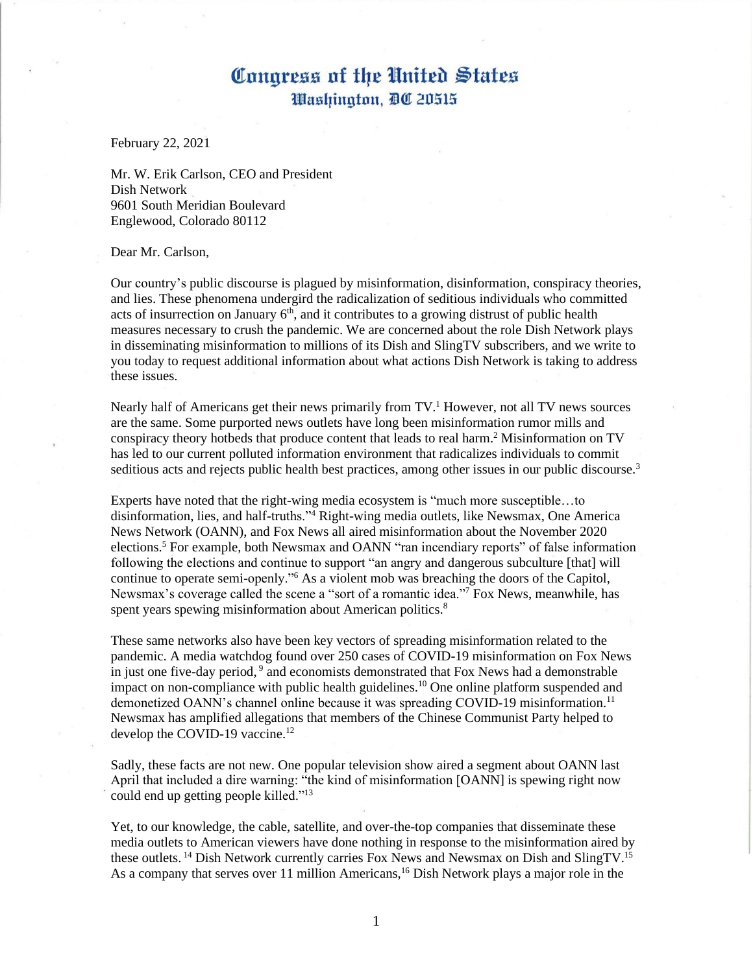February 22, 2021

Mr. W. Erik Carlson, CEO and President Dish Network 9601 South Meridian Boulevard Englewood, Colorado 80112

### Dear Mr. Carlson,

Our country's public discourse is plagued by misinformation, disinformation, conspiracy theories, and lies. These phenomena undergird the radicalization of seditious individuals who committed acts of insurrection on January  $6<sup>th</sup>$ , and it contributes to a growing distrust of public health measures necessary to crush the pandemic. We are concerned about the role Dish Network plays in disseminating misinformation to millions of its Dish and SlingTV subscribers, and we write to you today to request additional information about what actions Dish Network is taking to address these issues.

Nearly half of Americans get their news primarily from  $TV<sup>1</sup>$  However, not all TV news sources are the same. Some purported news outlets have long been misinformation rumor mills and conspiracy theory hotbeds that produce content that leads to real harm. <sup>2</sup> Misinformation on TV has led to our current polluted information environment that radicalizes individuals to commit seditious acts and rejects public health best practices, among other issues in our public discourse.<sup>3</sup>

Experts have noted that the right-wing media ecosystem is "much more susceptible…to disinformation, lies, and half-truths."<sup>4</sup> Right-wing media outlets, like Newsmax, One America News Network (OANN), and Fox News all aired misinformation about the November 2020 elections.<sup>5</sup> For example, both Newsmax and OANN "ran incendiary reports" of false information following the elections and continue to support "an angry and dangerous subculture [that] will continue to operate semi-openly."<sup>6</sup> As a violent mob was breaching the doors of the Capitol, Newsmax's coverage called the scene a "sort of a romantic idea."<sup>7</sup> Fox News, meanwhile, has spent years spewing misinformation about American politics.<sup>8</sup>

These same networks also have been key vectors of spreading misinformation related to the pandemic. A media watchdog found over 250 cases of COVID-19 misinformation on Fox News in just one five-day period, 9 and economists demonstrated that Fox News had a demonstrable impact on non-compliance with public health guidelines.<sup>10</sup> One online platform suspended and demonetized OANN's channel online because it was spreading COVID-19 misinformation.<sup>11</sup> Newsmax has amplified allegations that members of the Chinese Communist Party helped to develop the COVID-19 vaccine.<sup>12</sup>

Sadly, these facts are not new. One popular television show aired a segment about OANN last April that included a dire warning: "the kind of misinformation [OANN] is spewing right now could end up getting people killed."<sup>13</sup>

Yet, to our knowledge, the cable, satellite, and over-the-top companies that disseminate these media outlets to American viewers have done nothing in response to the misinformation aired by these outlets.<sup>14</sup> Dish Network currently carries Fox News and Newsmax on Dish and SlingTV.<sup>15</sup> As a company that serves over 11 million Americans,<sup>16</sup> Dish Network plays a major role in the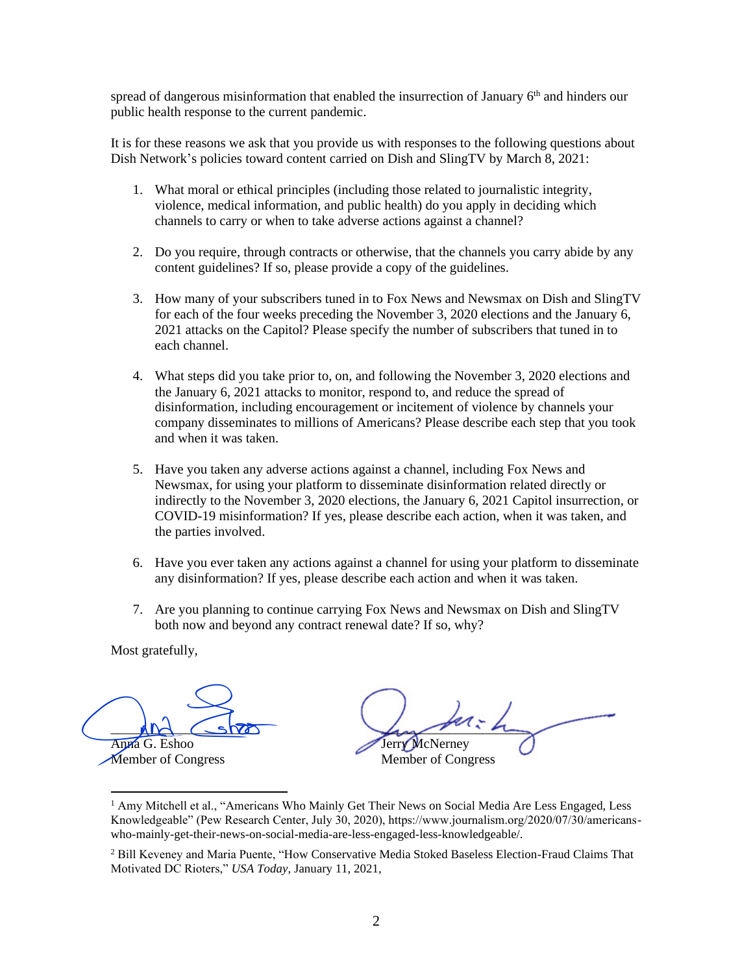spread of dangerous misinformation that enabled the insurrection of January 6<sup>th</sup> and hinders our public health response to the current pandemic.

It is for these reasons we ask that you provide us with responses to the following questions about Dish Network's policies toward content carried on Dish and SlingTV by March 8, 2021:

- 1. What moral or ethical principles (including those related to journalistic integrity, violence, medical information, and public health) do you apply in deciding which channels to carry or when to take adverse actions against a channel?
- 2. Do you require, through contracts or otherwise, that the channels you carry abide by any content guidelines? If so, please provide a copy of the guidelines.
- 3. How many of your subscribers tuned in to Fox News and Newsmax on Dish and SlingTV for each of the four weeks preceding the November 3, 2020 elections and the January 6, 2021 attacks on the Capitol? Please specify the number of subscribers that tuned in to each channel.
- 4. What steps did you take prior to, on, and following the November 3, 2020 elections and the January 6, 2021 attacks to monitor, respond to, and reduce the spread of disinformation, including encouragement or incitement of violence by channels your company disseminates to millions of Americans? Please describe each step that you took and when it was taken.
- 5. Have you taken any adverse actions against a channel, including Fox News and Newsmax, for using your platform to disseminate disinformation related directly or indirectly to the November 3, 2020 elections, the January 6, 2021 Capitol insurrection, or COVID-19 misinformation? If yes, please describe each action, when it was taken, and the parties involved.
- 6. Have you ever taken any actions against a channel for using your platform to disseminate any disinformation? If yes, please describe each action and when it was taken.
- 7. Are you planning to continue carrying Fox News and Newsmax on Dish and SlingTV both now and beyond any contract renewal date? If so, why?

 $MN \sim$ Anna G. Eshoo And Show<br>Anna G. Eshoo<br>Member of Congress

 $L_{\rm max}$  and the Jerry McNerney Member of Congress

<sup>&</sup>lt;sup>1</sup> Amy Mitchell et al., "Americans Who Mainly Get Their News on Social Media Are Less Engaged, Less Knowledgeable" (Pew Research Center, July 30, 2020), https://www.journalism.org/2020/07/30/americanswho-mainly-get-their-news-on-social-media-are-less-engaged-less-knowledgeable/.

<sup>&</sup>lt;sup>2</sup> Bill Keveney and Maria Puente, "How Conservative Media Stoked Baseless Election-Fraud Claims That Motivated DC Rioters," *USA Today*, January 11, 2021,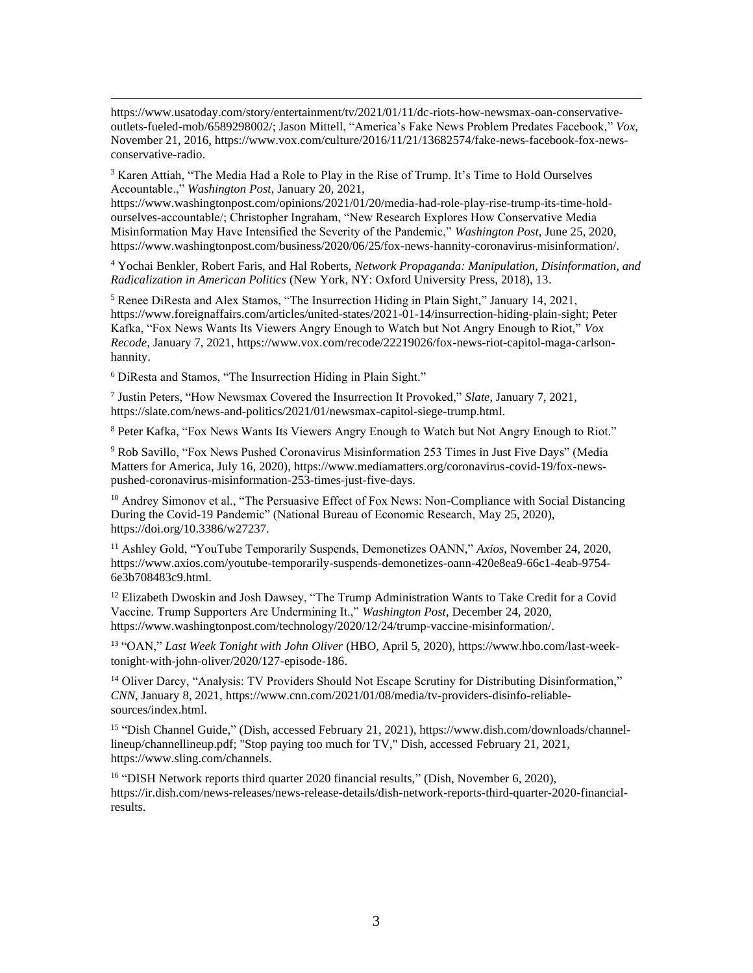$3$  Karen Attiah, "The Media Had a Role to Play in the Rise of Trump. It's Time to Hold Ourselves Accountable.," *Washington Post*, January 20, 2021,

https://www.washingtonpost.com/opinions/2021/01/20/media-had-role-play-rise-trump-its-time-holdourselves-accountable/; Christopher Ingraham, "New Research Explores How Conservative Media Misinformation May Have Intensified the Severity of the Pandemic," *Washington Post*, June 25, 2020, https://www.washingtonpost.com/business/2020/06/25/fox-news-hannity-coronavirus-misinformation/.

<sup>4</sup> Yochai Benkler, Robert Faris, and Hal Roberts, *Network Propaganda: Manipulation, Disinformation, and Radicalization in American Politics* (New York, NY: Oxford University Press, 2018), 13.

<sup>5</sup> Renee DiResta and Alex Stamos, "The Insurrection Hiding in Plain Sight," January 14, 2021, https://www.foreignaffairs.com/articles/united-states/2021-01-14/insurrection-hiding-plain-sight; Peter Kafka, "Fox News Wants Its Viewers Angry Enough to Watch but Not Angry Enough to Riot," *Vox Recode*, January 7, 2021, https://www.vox.com/recode/22219026/fox-news-riot-capitol-maga-carlsonhannity.

<sup>6</sup> DiResta and Stamos, "The Insurrection Hiding in Plain Sight."

7 Justin Peters, "How Newsmax Covered the Insurrection It Provoked," *Slate*, January 7, 2021, https://slate.com/news-and-politics/2021/01/newsmax-capitol-siege-trump.html.

<sup>8</sup> Peter Kafka, "Fox News Wants Its Viewers Angry Enough to Watch but Not Angry Enough to Riot."

<sup>9</sup> Rob Savillo, "Fox News Pushed Coronavirus Misinformation 253 Times in Just Five Days" (Media Matters for America, July 16, 2020), https://www.mediamatters.org/coronavirus-covid-19/fox-newspushed-coronavirus-misinformation-253-times-just-five-days.

<sup>10</sup> Andrey Simonov et al., "The Persuasive Effect of Fox News: Non-Compliance with Social Distancing During the Covid-19 Pandemic" (National Bureau of Economic Research, May 25, 2020), https://doi.org/10.3386/w27237.

<sup>11</sup> Ashley Gold, "YouTube Temporarily Suspends, Demonetizes OANN," *Axios*, November 24, 2020, https://www.axios.com/youtube-temporarily-suspends-demonetizes-oann-420e8ea9-66c1-4eab-9754- 6e3b708483c9.html.

<sup>12</sup> Elizabeth Dwoskin and Josh Dawsey, "The Trump Administration Wants to Take Credit for a Covid Vaccine. Trump Supporters Are Undermining It.," *Washington Post*, December 24, 2020, https://www.washingtonpost.com/technology/2020/12/24/trump-vaccine-misinformation/.

<sup>13</sup> "OAN," *Last Week Tonight with John Oliver* (HBO, April 5, 2020), https://www.hbo.com/last-weektonight-with-john-oliver/2020/127-episode-186.

<sup>14</sup> Oliver Darcy, "Analysis: TV Providers Should Not Escape Scrutiny for Distributing Disinformation," *CNN*, January 8, 2021, https://www.cnn.com/2021/01/08/media/tv-providers-disinfo-reliablesources/index.html.

<sup>15</sup> "Dish Channel Guide," (Dish, accessed February 21, 2021), https://www.dish.com/downloads/channellineup/channellineup.pdf; "Stop paying too much for TV," Dish, accessed February 21, 2021, https://www.sling.com/channels.

<sup>16</sup> "DISH Network reports third quarter 2020 financial results," (Dish, November 6, 2020), https://ir.dish.com/news-releases/news-release-details/dish-network-reports-third-quarter-2020-financialresults.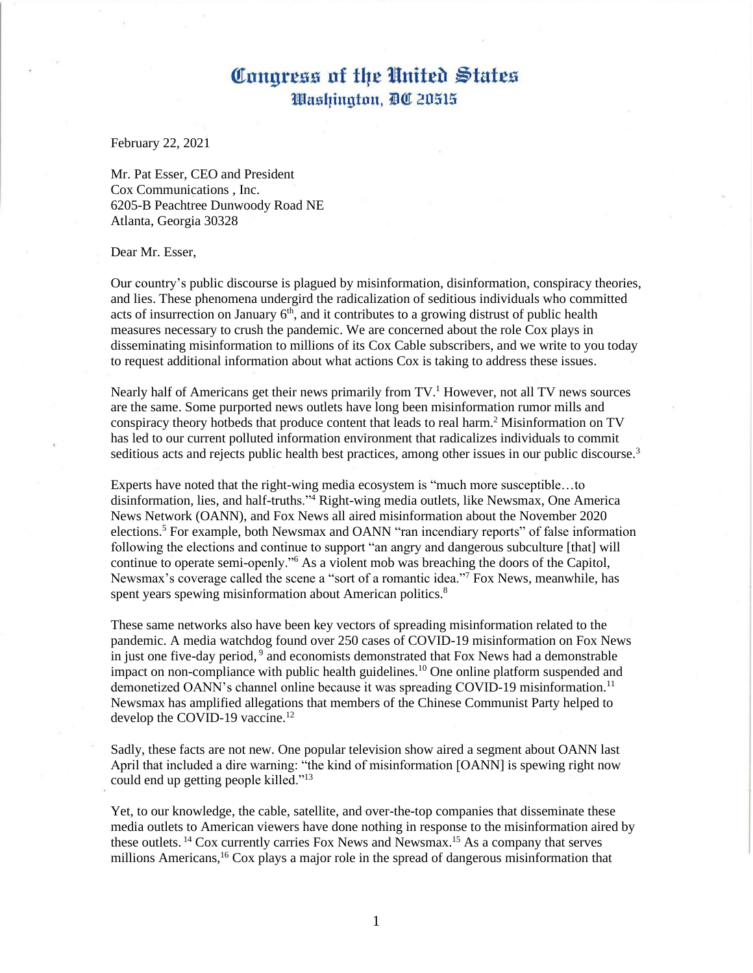February 22, 2021

Mr. Pat Esser, CEO and President Cox Communications , Inc. 6205-B Peachtree Dunwoody Road NE Atlanta, Georgia 30328

Dear Mr. Esser,

Our country's public discourse is plagued by misinformation, disinformation, conspiracy theories, and lies. These phenomena undergird the radicalization of seditious individuals who committed acts of insurrection on January  $6<sup>th</sup>$ , and it contributes to a growing distrust of public health measures necessary to crush the pandemic. We are concerned about the role Cox plays in disseminating misinformation to millions of its Cox Cable subscribers, and we write to you today to request additional information about what actions Cox is taking to address these issues.

Nearly half of Americans get their news primarily from  $TV<sup>1</sup>$  However, not all TV news sources are the same. Some purported news outlets have long been misinformation rumor mills and conspiracy theory hotbeds that produce content that leads to real harm. <sup>2</sup> Misinformation on TV has led to our current polluted information environment that radicalizes individuals to commit seditious acts and rejects public health best practices, among other issues in our public discourse.<sup>3</sup>

Experts have noted that the right-wing media ecosystem is "much more susceptible…to disinformation, lies, and half-truths."<sup>4</sup> Right-wing media outlets, like Newsmax, One America News Network (OANN), and Fox News all aired misinformation about the November 2020 elections.<sup>5</sup> For example, both Newsmax and OANN "ran incendiary reports" of false information following the elections and continue to support "an angry and dangerous subculture [that] will continue to operate semi-openly."<sup>6</sup> As a violent mob was breaching the doors of the Capitol, Newsmax's coverage called the scene a "sort of a romantic idea."<sup>7</sup> Fox News, meanwhile, has spent years spewing misinformation about American politics.<sup>8</sup>

These same networks also have been key vectors of spreading misinformation related to the pandemic. A media watchdog found over 250 cases of COVID-19 misinformation on Fox News in just one five-day period, 9 and economists demonstrated that Fox News had a demonstrable impact on non-compliance with public health guidelines.<sup>10</sup> One online platform suspended and demonetized OANN's channel online because it was spreading COVID-19 misinformation.<sup>11</sup> Newsmax has amplified allegations that members of the Chinese Communist Party helped to develop the COVID-19 vaccine.<sup>12</sup>

Sadly, these facts are not new. One popular television show aired a segment about OANN last April that included a dire warning: "the kind of misinformation [OANN] is spewing right now could end up getting people killed."<sup>13</sup>

Yet, to our knowledge, the cable, satellite, and over-the-top companies that disseminate these media outlets to American viewers have done nothing in response to the misinformation aired by these outlets. <sup>14</sup> Cox currently carries Fox News and Newsmax. <sup>15</sup> As a company that serves millions Americans,<sup>16</sup> Cox plays a major role in the spread of dangerous misinformation that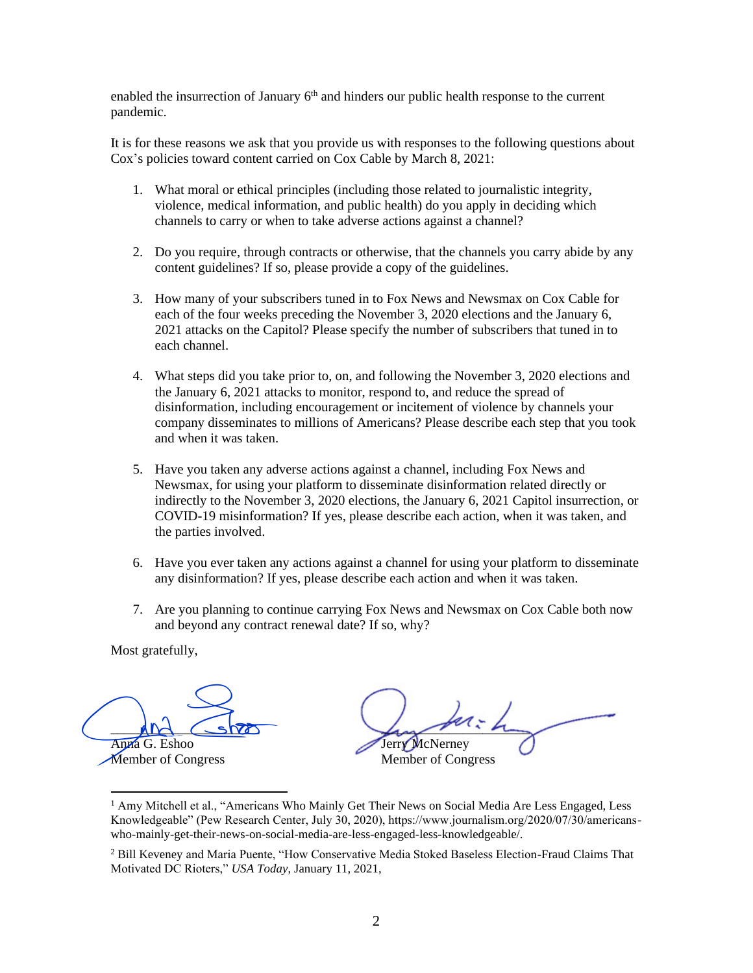enabled the insurrection of January  $6<sup>th</sup>$  and hinders our public health response to the current pandemic.

It is for these reasons we ask that you provide us with responses to the following questions about Cox's policies toward content carried on Cox Cable by March 8, 2021:

- 1. What moral or ethical principles (including those related to journalistic integrity, violence, medical information, and public health) do you apply in deciding which channels to carry or when to take adverse actions against a channel?
- 2. Do you require, through contracts or otherwise, that the channels you carry abide by any content guidelines? If so, please provide a copy of the guidelines.
- 3. How many of your subscribers tuned in to Fox News and Newsmax on Cox Cable for each of the four weeks preceding the November 3, 2020 elections and the January 6, 2021 attacks on the Capitol? Please specify the number of subscribers that tuned in to each channel.
- 4. What steps did you take prior to, on, and following the November 3, 2020 elections and the January 6, 2021 attacks to monitor, respond to, and reduce the spread of disinformation, including encouragement or incitement of violence by channels your company disseminates to millions of Americans? Please describe each step that you took and when it was taken.
- 5. Have you taken any adverse actions against a channel, including Fox News and Newsmax, for using your platform to disseminate disinformation related directly or indirectly to the November 3, 2020 elections, the January 6, 2021 Capitol insurrection, or COVID-19 misinformation? If yes, please describe each action, when it was taken, and the parties involved.
- 6. Have you ever taken any actions against a channel for using your platform to disseminate any disinformation? If yes, please describe each action and when it was taken.
- 7. Are you planning to continue carrying Fox News and Newsmax on Cox Cable both now and beyond any contract renewal date? If so, why?

 $MN \sim$ Anna G. Eshoo And Show<br>Anna G. Eshoo<br>Member of Congress

 $L_{\rm max}$  and the Jerry McNerney Member of Congress

<sup>&</sup>lt;sup>1</sup> Amy Mitchell et al., "Americans Who Mainly Get Their News on Social Media Are Less Engaged, Less Knowledgeable" (Pew Research Center, July 30, 2020), https://www.journalism.org/2020/07/30/americanswho-mainly-get-their-news-on-social-media-are-less-engaged-less-knowledgeable/.

<sup>&</sup>lt;sup>2</sup> Bill Keveney and Maria Puente, "How Conservative Media Stoked Baseless Election-Fraud Claims That Motivated DC Rioters," *USA Today*, January 11, 2021,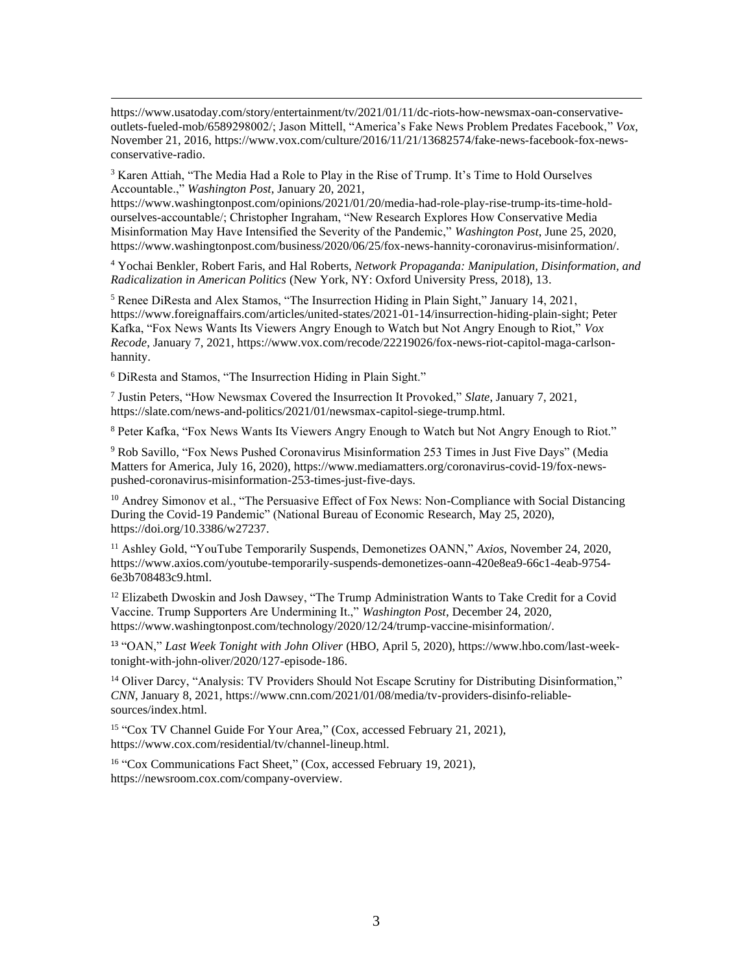$3$  Karen Attiah, "The Media Had a Role to Play in the Rise of Trump. It's Time to Hold Ourselves Accountable.," *Washington Post*, January 20, 2021,

https://www.washingtonpost.com/opinions/2021/01/20/media-had-role-play-rise-trump-its-time-holdourselves-accountable/; Christopher Ingraham, "New Research Explores How Conservative Media Misinformation May Have Intensified the Severity of the Pandemic," *Washington Post*, June 25, 2020, https://www.washingtonpost.com/business/2020/06/25/fox-news-hannity-coronavirus-misinformation/.

<sup>4</sup> Yochai Benkler, Robert Faris, and Hal Roberts, *Network Propaganda: Manipulation, Disinformation, and Radicalization in American Politics* (New York, NY: Oxford University Press, 2018), 13.

<sup>5</sup> Renee DiResta and Alex Stamos, "The Insurrection Hiding in Plain Sight," January 14, 2021, https://www.foreignaffairs.com/articles/united-states/2021-01-14/insurrection-hiding-plain-sight; Peter Kafka, "Fox News Wants Its Viewers Angry Enough to Watch but Not Angry Enough to Riot," *Vox Recode*, January 7, 2021, https://www.vox.com/recode/22219026/fox-news-riot-capitol-maga-carlsonhannity.

<sup>6</sup> DiResta and Stamos, "The Insurrection Hiding in Plain Sight."

7 Justin Peters, "How Newsmax Covered the Insurrection It Provoked," *Slate*, January 7, 2021, https://slate.com/news-and-politics/2021/01/newsmax-capitol-siege-trump.html.

<sup>8</sup> Peter Kafka, "Fox News Wants Its Viewers Angry Enough to Watch but Not Angry Enough to Riot."

<sup>9</sup> Rob Savillo, "Fox News Pushed Coronavirus Misinformation 253 Times in Just Five Days" (Media Matters for America, July 16, 2020), https://www.mediamatters.org/coronavirus-covid-19/fox-newspushed-coronavirus-misinformation-253-times-just-five-days.

<sup>10</sup> Andrey Simonov et al., "The Persuasive Effect of Fox News: Non-Compliance with Social Distancing During the Covid-19 Pandemic" (National Bureau of Economic Research, May 25, 2020), https://doi.org/10.3386/w27237.

<sup>11</sup> Ashley Gold, "YouTube Temporarily Suspends, Demonetizes OANN," *Axios*, November 24, 2020, https://www.axios.com/youtube-temporarily-suspends-demonetizes-oann-420e8ea9-66c1-4eab-9754- 6e3b708483c9.html.

<sup>12</sup> Elizabeth Dwoskin and Josh Dawsey, "The Trump Administration Wants to Take Credit for a Covid Vaccine. Trump Supporters Are Undermining It.," *Washington Post*, December 24, 2020, https://www.washingtonpost.com/technology/2020/12/24/trump-vaccine-misinformation/.

<sup>13</sup> "OAN," *Last Week Tonight with John Oliver* (HBO, April 5, 2020), https://www.hbo.com/last-weektonight-with-john-oliver/2020/127-episode-186.

<sup>14</sup> Oliver Darcy, "Analysis: TV Providers Should Not Escape Scrutiny for Distributing Disinformation," *CNN*, January 8, 2021, https://www.cnn.com/2021/01/08/media/tv-providers-disinfo-reliablesources/index.html.

<sup>15</sup> "Cox TV Channel Guide For Your Area," (Cox, accessed February 21, 2021), https://www.cox.com/residential/tv/channel-lineup.html.

<sup>16</sup> "Cox Communications Fact Sheet," (Cox, accessed February 19, 2021), https://newsroom.cox.com/company-overview.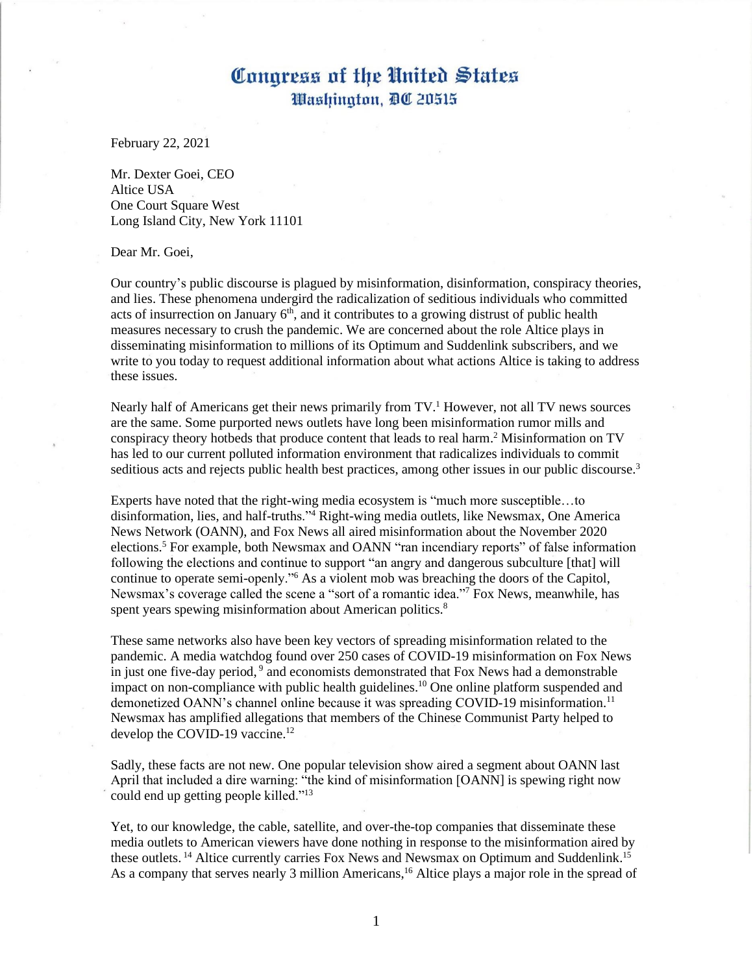February 22, 2021

Mr. Dexter Goei, CEO Altice USA One Court Square West Long Island City, New York 11101

Dear Mr. Goei,

Our country's public discourse is plagued by misinformation, disinformation, conspiracy theories, and lies. These phenomena undergird the radicalization of seditious individuals who committed acts of insurrection on January  $6<sup>th</sup>$ , and it contributes to a growing distrust of public health measures necessary to crush the pandemic. We are concerned about the role Altice plays in disseminating misinformation to millions of its Optimum and Suddenlink subscribers, and we write to you today to request additional information about what actions Altice is taking to address these issues.

Nearly half of Americans get their news primarily from  $TV<sup>1</sup>$  However, not all TV news sources are the same. Some purported news outlets have long been misinformation rumor mills and conspiracy theory hotbeds that produce content that leads to real harm. <sup>2</sup> Misinformation on TV has led to our current polluted information environment that radicalizes individuals to commit seditious acts and rejects public health best practices, among other issues in our public discourse.<sup>3</sup>

Experts have noted that the right-wing media ecosystem is "much more susceptible…to disinformation, lies, and half-truths."<sup>4</sup> Right-wing media outlets, like Newsmax, One America News Network (OANN), and Fox News all aired misinformation about the November 2020 elections.<sup>5</sup> For example, both Newsmax and OANN "ran incendiary reports" of false information following the elections and continue to support "an angry and dangerous subculture [that] will continue to operate semi-openly."<sup>6</sup> As a violent mob was breaching the doors of the Capitol, Newsmax's coverage called the scene a "sort of a romantic idea."<sup>7</sup> Fox News, meanwhile, has spent years spewing misinformation about American politics.<sup>8</sup>

These same networks also have been key vectors of spreading misinformation related to the pandemic. A media watchdog found over 250 cases of COVID-19 misinformation on Fox News in just one five-day period, 9 and economists demonstrated that Fox News had a demonstrable impact on non-compliance with public health guidelines.<sup>10</sup> One online platform suspended and demonetized OANN's channel online because it was spreading COVID-19 misinformation.<sup>11</sup> Newsmax has amplified allegations that members of the Chinese Communist Party helped to develop the COVID-19 vaccine.<sup>12</sup>

Sadly, these facts are not new. One popular television show aired a segment about OANN last April that included a dire warning: "the kind of misinformation [OANN] is spewing right now could end up getting people killed."<sup>13</sup>

Yet, to our knowledge, the cable, satellite, and over-the-top companies that disseminate these media outlets to American viewers have done nothing in response to the misinformation aired by these outlets.<sup>14</sup> Altice currently carries Fox News and Newsmax on Optimum and Suddenlink.<sup>15</sup> As a company that serves nearly 3 million Americans,<sup>16</sup> Altice plays a major role in the spread of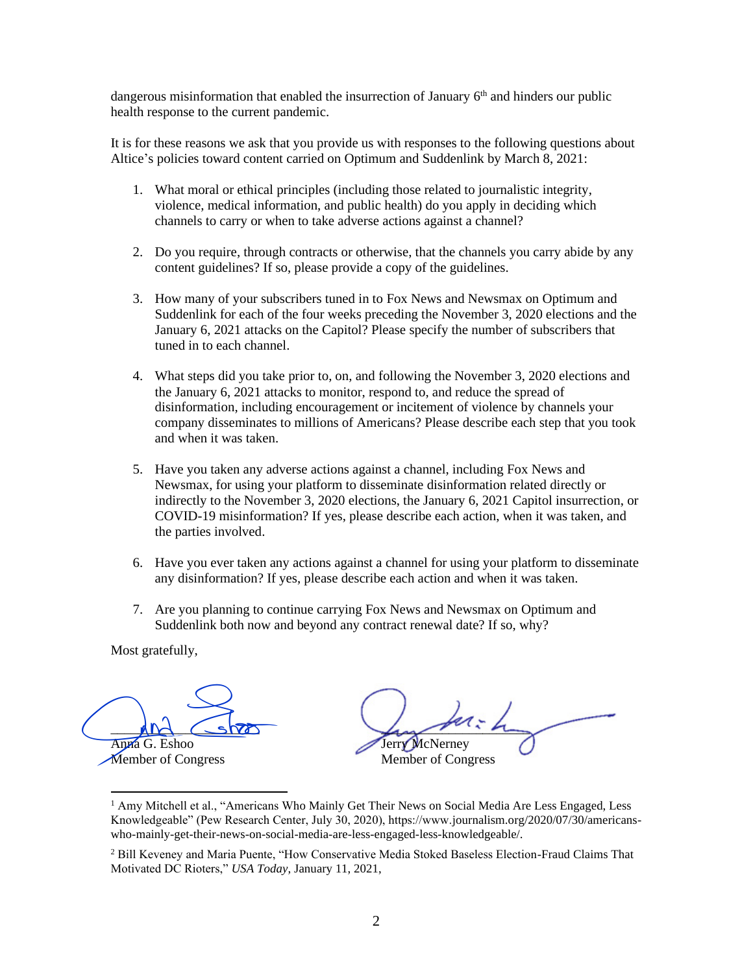dangerous misinformation that enabled the insurrection of January  $6<sup>th</sup>$  and hinders our public health response to the current pandemic.

It is for these reasons we ask that you provide us with responses to the following questions about Altice's policies toward content carried on Optimum and Suddenlink by March 8, 2021:

- 1. What moral or ethical principles (including those related to journalistic integrity, violence, medical information, and public health) do you apply in deciding which channels to carry or when to take adverse actions against a channel?
- 2. Do you require, through contracts or otherwise, that the channels you carry abide by any content guidelines? If so, please provide a copy of the guidelines.
- 3. How many of your subscribers tuned in to Fox News and Newsmax on Optimum and Suddenlink for each of the four weeks preceding the November 3, 2020 elections and the January 6, 2021 attacks on the Capitol? Please specify the number of subscribers that tuned in to each channel.
- 4. What steps did you take prior to, on, and following the November 3, 2020 elections and the January 6, 2021 attacks to monitor, respond to, and reduce the spread of disinformation, including encouragement or incitement of violence by channels your company disseminates to millions of Americans? Please describe each step that you took and when it was taken.
- 5. Have you taken any adverse actions against a channel, including Fox News and Newsmax, for using your platform to disseminate disinformation related directly or indirectly to the November 3, 2020 elections, the January 6, 2021 Capitol insurrection, or COVID-19 misinformation? If yes, please describe each action, when it was taken, and the parties involved.
- 6. Have you ever taken any actions against a channel for using your platform to disseminate any disinformation? If yes, please describe each action and when it was taken.
- 7. Are you planning to continue carrying Fox News and Newsmax on Optimum and Suddenlink both now and beyond any contract renewal date? If so, why?

 $MN \sim$ Anna G. Eshoo And Show<br>Anna G. Eshoo<br>Member of Congress

 $L_{\rm max}$  and the Jerry McNerney Member of Congress

<sup>&</sup>lt;sup>1</sup> Amy Mitchell et al., "Americans Who Mainly Get Their News on Social Media Are Less Engaged, Less Knowledgeable" (Pew Research Center, July 30, 2020), https://www.journalism.org/2020/07/30/americanswho-mainly-get-their-news-on-social-media-are-less-engaged-less-knowledgeable/.

<sup>&</sup>lt;sup>2</sup> Bill Keveney and Maria Puente, "How Conservative Media Stoked Baseless Election-Fraud Claims That Motivated DC Rioters," *USA Today*, January 11, 2021,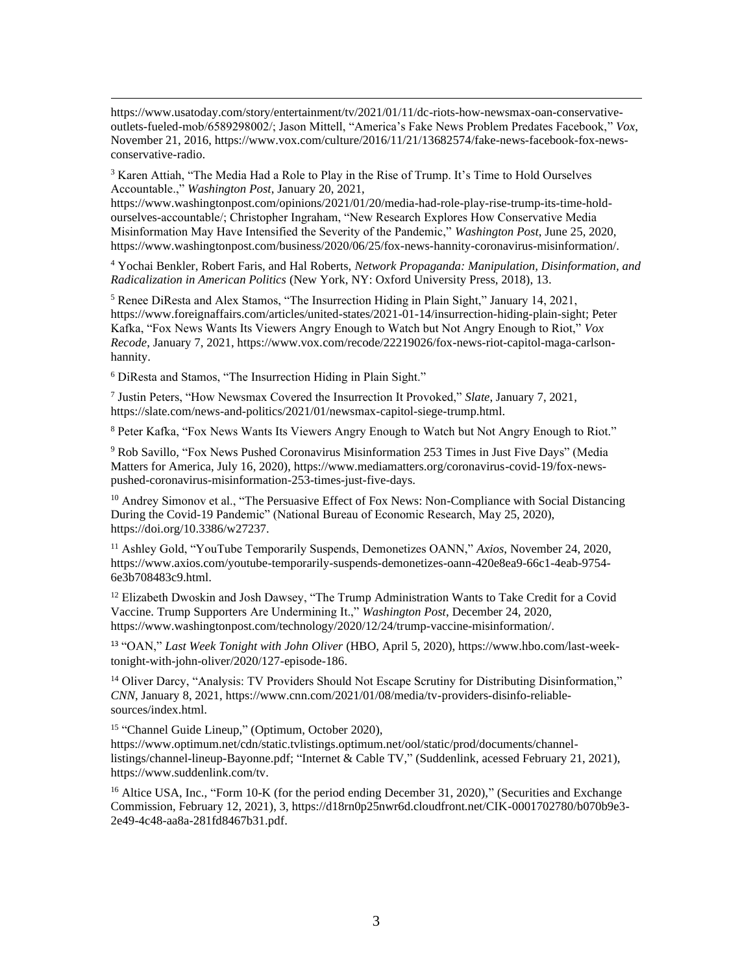$3$  Karen Attiah, "The Media Had a Role to Play in the Rise of Trump. It's Time to Hold Ourselves Accountable.," *Washington Post*, January 20, 2021,

https://www.washingtonpost.com/opinions/2021/01/20/media-had-role-play-rise-trump-its-time-holdourselves-accountable/; Christopher Ingraham, "New Research Explores How Conservative Media Misinformation May Have Intensified the Severity of the Pandemic," *Washington Post*, June 25, 2020, https://www.washingtonpost.com/business/2020/06/25/fox-news-hannity-coronavirus-misinformation/.

<sup>4</sup> Yochai Benkler, Robert Faris, and Hal Roberts, *Network Propaganda: Manipulation, Disinformation, and Radicalization in American Politics* (New York, NY: Oxford University Press, 2018), 13.

<sup>5</sup> Renee DiResta and Alex Stamos, "The Insurrection Hiding in Plain Sight," January 14, 2021, https://www.foreignaffairs.com/articles/united-states/2021-01-14/insurrection-hiding-plain-sight; Peter Kafka, "Fox News Wants Its Viewers Angry Enough to Watch but Not Angry Enough to Riot," *Vox Recode*, January 7, 2021, https://www.vox.com/recode/22219026/fox-news-riot-capitol-maga-carlsonhannity.

<sup>6</sup> DiResta and Stamos, "The Insurrection Hiding in Plain Sight."

7 Justin Peters, "How Newsmax Covered the Insurrection It Provoked," *Slate*, January 7, 2021, https://slate.com/news-and-politics/2021/01/newsmax-capitol-siege-trump.html.

<sup>8</sup> Peter Kafka, "Fox News Wants Its Viewers Angry Enough to Watch but Not Angry Enough to Riot."

<sup>9</sup> Rob Savillo, "Fox News Pushed Coronavirus Misinformation 253 Times in Just Five Days" (Media Matters for America, July 16, 2020), https://www.mediamatters.org/coronavirus-covid-19/fox-newspushed-coronavirus-misinformation-253-times-just-five-days.

<sup>10</sup> Andrey Simonov et al., "The Persuasive Effect of Fox News: Non-Compliance with Social Distancing During the Covid-19 Pandemic" (National Bureau of Economic Research, May 25, 2020), https://doi.org/10.3386/w27237.

<sup>11</sup> Ashley Gold, "YouTube Temporarily Suspends, Demonetizes OANN," *Axios*, November 24, 2020, https://www.axios.com/youtube-temporarily-suspends-demonetizes-oann-420e8ea9-66c1-4eab-9754- 6e3b708483c9.html.

<sup>12</sup> Elizabeth Dwoskin and Josh Dawsey, "The Trump Administration Wants to Take Credit for a Covid Vaccine. Trump Supporters Are Undermining It.," *Washington Post*, December 24, 2020, https://www.washingtonpost.com/technology/2020/12/24/trump-vaccine-misinformation/.

<sup>13</sup> "OAN," *Last Week Tonight with John Oliver* (HBO, April 5, 2020), https://www.hbo.com/last-weektonight-with-john-oliver/2020/127-episode-186.

<sup>14</sup> Oliver Darcy, "Analysis: TV Providers Should Not Escape Scrutiny for Distributing Disinformation," *CNN*, January 8, 2021, https://www.cnn.com/2021/01/08/media/tv-providers-disinfo-reliablesources/index.html.

<sup>15</sup> "Channel Guide Lineup," (Optimum, October 2020),

https://www.optimum.net/cdn/static.tvlistings.optimum.net/ool/static/prod/documents/channellistings/channel-lineup-Bayonne.pdf; "Internet & Cable TV," (Suddenlink, acessed February 21, 2021), https://www.suddenlink.com/tv.

<sup>16</sup> Altice USA, Inc., "Form 10-K (for the period ending December 31, 2020)," (Securities and Exchange Commission, February 12, 2021), 3, https://d18rn0p25nwr6d.cloudfront.net/CIK-0001702780/b070b9e3- 2e49-4c48-aa8a-281fd8467b31.pdf.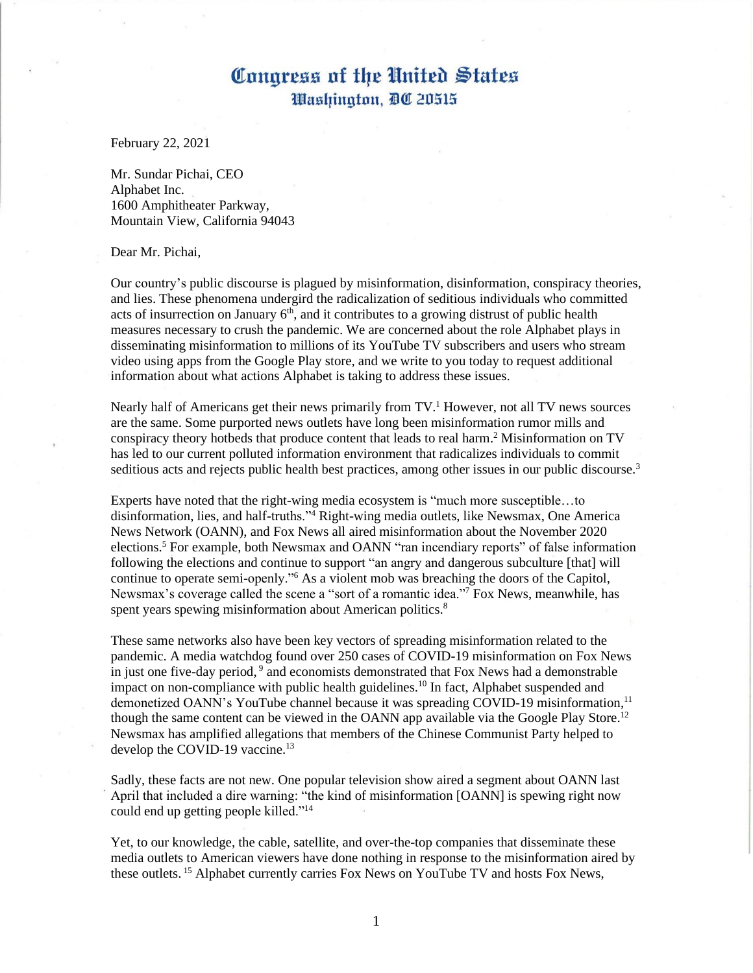February 22, 2021

Mr. Sundar Pichai, CEO Alphabet Inc. 1600 Amphitheater Parkway, Mountain View, California 94043

Dear Mr. Pichai,

Our country's public discourse is plagued by misinformation, disinformation, conspiracy theories, and lies. These phenomena undergird the radicalization of seditious individuals who committed acts of insurrection on January  $6<sup>th</sup>$ , and it contributes to a growing distrust of public health measures necessary to crush the pandemic. We are concerned about the role Alphabet plays in disseminating misinformation to millions of its YouTube TV subscribers and users who stream video using apps from the Google Play store, and we write to you today to request additional information about what actions Alphabet is taking to address these issues.

Nearly half of Americans get their news primarily from  $TV<sup>1</sup>$  However, not all TV news sources are the same. Some purported news outlets have long been misinformation rumor mills and conspiracy theory hotbeds that produce content that leads to real harm. <sup>2</sup> Misinformation on TV has led to our current polluted information environment that radicalizes individuals to commit seditious acts and rejects public health best practices, among other issues in our public discourse.<sup>3</sup>

Experts have noted that the right-wing media ecosystem is "much more susceptible…to disinformation, lies, and half-truths."<sup>4</sup> Right-wing media outlets, like Newsmax, One America News Network (OANN), and Fox News all aired misinformation about the November 2020 elections.<sup>5</sup> For example, both Newsmax and OANN "ran incendiary reports" of false information following the elections and continue to support "an angry and dangerous subculture [that] will continue to operate semi-openly."<sup>6</sup> As a violent mob was breaching the doors of the Capitol, Newsmax's coverage called the scene a "sort of a romantic idea."<sup>7</sup> Fox News, meanwhile, has spent years spewing misinformation about American politics.<sup>8</sup>

These same networks also have been key vectors of spreading misinformation related to the pandemic. A media watchdog found over 250 cases of COVID-19 misinformation on Fox News in just one five-day period, 9 and economists demonstrated that Fox News had a demonstrable impact on non-compliance with public health guidelines.<sup>10</sup> In fact, Alphabet suspended and demonetized OANN's YouTube channel because it was spreading COVID-19 misinformation, 11 though the same content can be viewed in the OANN app available via the Google Play Store.<sup>12</sup> Newsmax has amplified allegations that members of the Chinese Communist Party helped to develop the COVID-19 vaccine.<sup>13</sup>

Sadly, these facts are not new. One popular television show aired a segment about OANN last April that included a dire warning: "the kind of misinformation [OANN] is spewing right now could end up getting people killed."<sup>14</sup>

Yet, to our knowledge, the cable, satellite, and over-the-top companies that disseminate these media outlets to American viewers have done nothing in response to the misinformation aired by these outlets. <sup>15</sup> Alphabet currently carries Fox News on YouTube TV and hosts Fox News,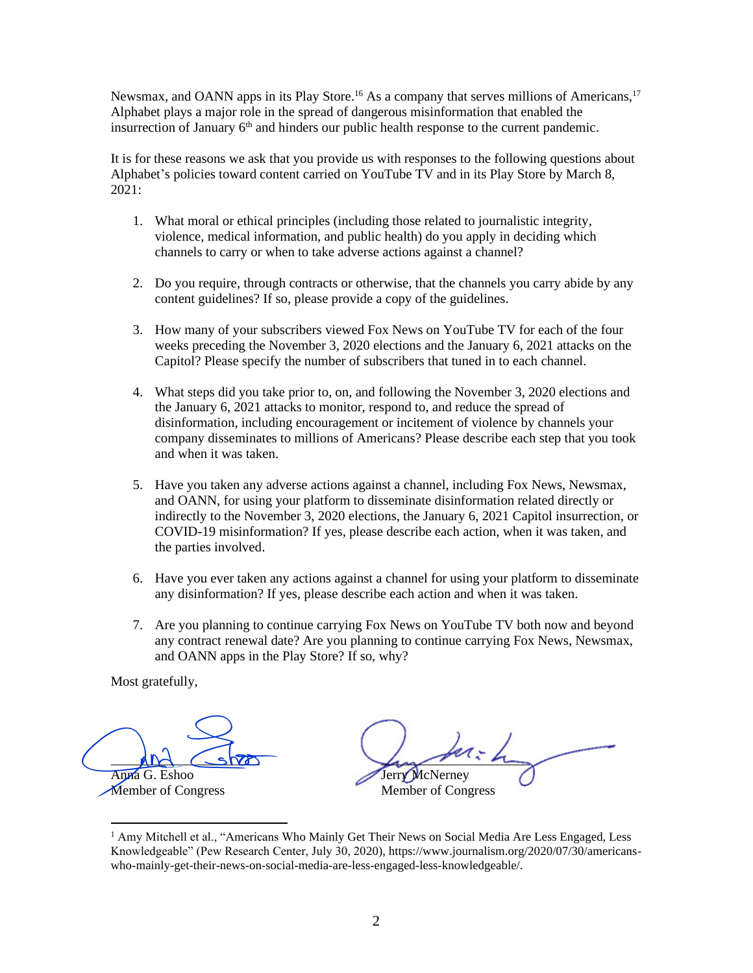Newsmax, and OANN apps in its Play Store.<sup>16</sup> As a company that serves millions of Americans,<sup>17</sup> Alphabet plays a major role in the spread of dangerous misinformation that enabled the insurrection of January  $6<sup>th</sup>$  and hinders our public health response to the current pandemic.

It is for these reasons we ask that you provide us with responses to the following questions about Alphabet's policies toward content carried on YouTube TV and in its Play Store by March 8, 2021:

- 1. What moral or ethical principles (including those related to journalistic integrity, violence, medical information, and public health) do you apply in deciding which channels to carry or when to take adverse actions against a channel?
- 2. Do you require, through contracts or otherwise, that the channels you carry abide by any content guidelines? If so, please provide a copy of the guidelines.
- 3. How many of your subscribers viewed Fox News on YouTube TV for each of the four weeks preceding the November 3, 2020 elections and the January 6, 2021 attacks on the Capitol? Please specify the number of subscribers that tuned in to each channel.
- 4. What steps did you take prior to, on, and following the November 3, 2020 elections and the January 6, 2021 attacks to monitor, respond to, and reduce the spread of disinformation, including encouragement or incitement of violence by channels your company disseminates to millions of Americans? Please describe each step that you took and when it was taken.
- 5. Have you taken any adverse actions against a channel, including Fox News, Newsmax, and OANN, for using your platform to disseminate disinformation related directly or indirectly to the November 3, 2020 elections, the January 6, 2021 Capitol insurrection, or COVID-19 misinformation? If yes, please describe each action, when it was taken, and the parties involved.
- 6. Have you ever taken any actions against a channel for using your platform to disseminate any disinformation? If yes, please describe each action and when it was taken.
- 7. Are you planning to continue carrying Fox News on YouTube TV both now and beyond any contract renewal date? Are you planning to continue carrying Fox News, Newsmax, and OANN apps in the Play Store? If so, why?

 $MN \sim$ Anna G. Eshoo

Member of Congress

 $L_{\rm max}$  and  $L_{\rm max}$ Jerry McNerney Member of Congress Anna G. Eshoo<br>
Member of Congress<br>
Member of Congress<br>
Anny Mitchell et al., "Americans Who Mainly Get Their News on Social Media Are Less Engaged, Less<br>
Knowledgeable" (Pew Research Center, July 30, 2020), https://www.jou

<sup>&</sup>lt;sup>1</sup> Amy Mitchell et al., "Americans Who Mainly Get Their News on Social Media Are Less Engaged, Less Knowledgeable" (Pew Research Center, July 30, 2020), https://www.journalism.org/2020/07/30/americanswho-mainly-get-their-news-on-social-media-are-less-engaged-less-knowledgeable/.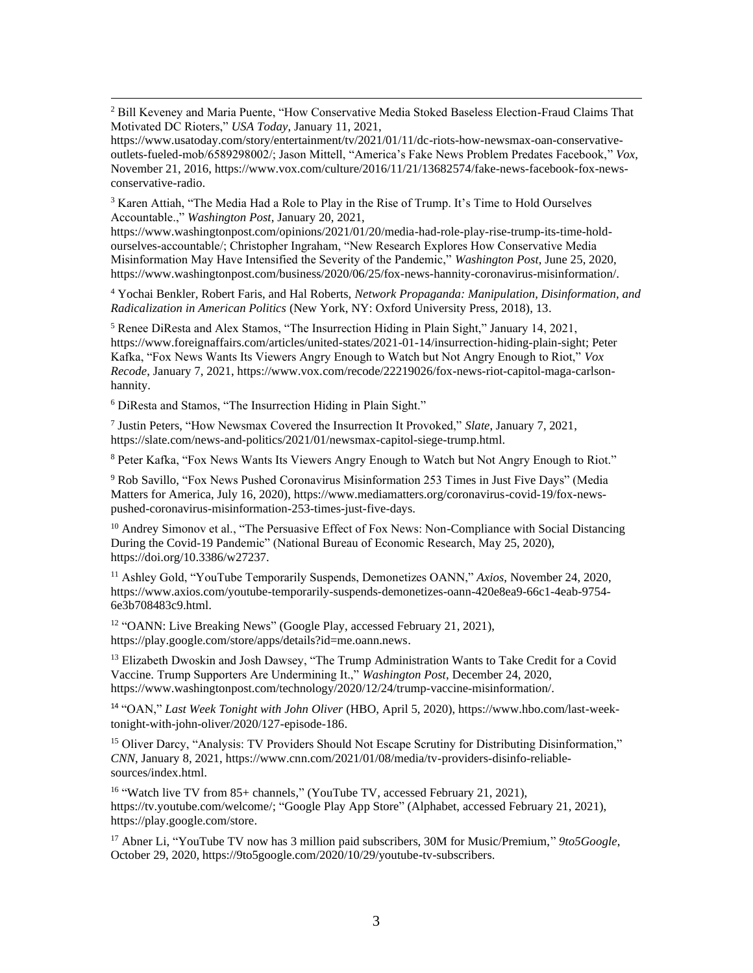<sup>2</sup> Bill Keveney and Maria Puente, "How Conservative Media Stoked Baseless Election-Fraud Claims That Motivated DC Rioters," *USA Today*, January 11, 2021,

https://www.usatoday.com/story/entertainment/tv/2021/01/11/dc-riots-how-newsmax-oan-conservativeoutlets-fueled-mob/6589298002/; Jason Mittell, "America's Fake News Problem Predates Facebook," *Vox*, November 21, 2016, https://www.vox.com/culture/2016/11/21/13682574/fake-news-facebook-fox-newsconservative-radio.

<sup>3</sup> Karen Attiah, "The Media Had a Role to Play in the Rise of Trump. It's Time to Hold Ourselves Accountable.," *Washington Post*, January 20, 2021,

https://www.washingtonpost.com/opinions/2021/01/20/media-had-role-play-rise-trump-its-time-holdourselves-accountable/; Christopher Ingraham, "New Research Explores How Conservative Media Misinformation May Have Intensified the Severity of the Pandemic," *Washington Post*, June 25, 2020, https://www.washingtonpost.com/business/2020/06/25/fox-news-hannity-coronavirus-misinformation/.

<sup>4</sup> Yochai Benkler, Robert Faris, and Hal Roberts, *Network Propaganda: Manipulation, Disinformation, and Radicalization in American Politics* (New York, NY: Oxford University Press, 2018), 13.

<sup>5</sup> Renee DiResta and Alex Stamos, "The Insurrection Hiding in Plain Sight," January 14, 2021, https://www.foreignaffairs.com/articles/united-states/2021-01-14/insurrection-hiding-plain-sight; Peter Kafka, "Fox News Wants Its Viewers Angry Enough to Watch but Not Angry Enough to Riot," *Vox Recode*, January 7, 2021, https://www.vox.com/recode/22219026/fox-news-riot-capitol-maga-carlsonhannity.

<sup>6</sup> DiResta and Stamos, "The Insurrection Hiding in Plain Sight."

7 Justin Peters, "How Newsmax Covered the Insurrection It Provoked," *Slate*, January 7, 2021, https://slate.com/news-and-politics/2021/01/newsmax-capitol-siege-trump.html.

<sup>8</sup> Peter Kafka, "Fox News Wants Its Viewers Angry Enough to Watch but Not Angry Enough to Riot."

<sup>9</sup> Rob Savillo, "Fox News Pushed Coronavirus Misinformation 253 Times in Just Five Days" (Media Matters for America, July 16, 2020), https://www.mediamatters.org/coronavirus-covid-19/fox-newspushed-coronavirus-misinformation-253-times-just-five-days.

<sup>10</sup> Andrey Simonov et al., "The Persuasive Effect of Fox News: Non-Compliance with Social Distancing During the Covid-19 Pandemic" (National Bureau of Economic Research, May 25, 2020), https://doi.org/10.3386/w27237.

<sup>11</sup> Ashley Gold, "YouTube Temporarily Suspends, Demonetizes OANN," *Axios*, November 24, 2020, https://www.axios.com/youtube-temporarily-suspends-demonetizes-oann-420e8ea9-66c1-4eab-9754- 6e3b708483c9.html.

<sup>12</sup> "OANN: Live Breaking News" (Google Play, accessed February 21, 2021), https://play.google.com/store/apps/details?id=me.oann.news.

<sup>13</sup> Elizabeth Dwoskin and Josh Dawsey, "The Trump Administration Wants to Take Credit for a Covid Vaccine. Trump Supporters Are Undermining It.," *Washington Post*, December 24, 2020, https://www.washingtonpost.com/technology/2020/12/24/trump-vaccine-misinformation/.

<sup>14</sup> "OAN," *Last Week Tonight with John Oliver* (HBO, April 5, 2020), https://www.hbo.com/last-weektonight-with-john-oliver/2020/127-episode-186.

<sup>15</sup> Oliver Darcy, "Analysis: TV Providers Should Not Escape Scrutiny for Distributing Disinformation," *CNN*, January 8, 2021, https://www.cnn.com/2021/01/08/media/tv-providers-disinfo-reliablesources/index.html.

<sup>16</sup> "Watch live TV from 85+ channels," (YouTube TV, accessed February 21, 2021), https://tv.youtube.com/welcome/; "Google Play App Store" (Alphabet, accessed February 21, 2021), https://play.google.com/store.

<sup>17</sup> Abner Li, "YouTube TV now has 3 million paid subscribers, 30M for Music/Premium," *9to5Google*, October 29, 2020, https://9to5google.com/2020/10/29/youtube-tv-subscribers.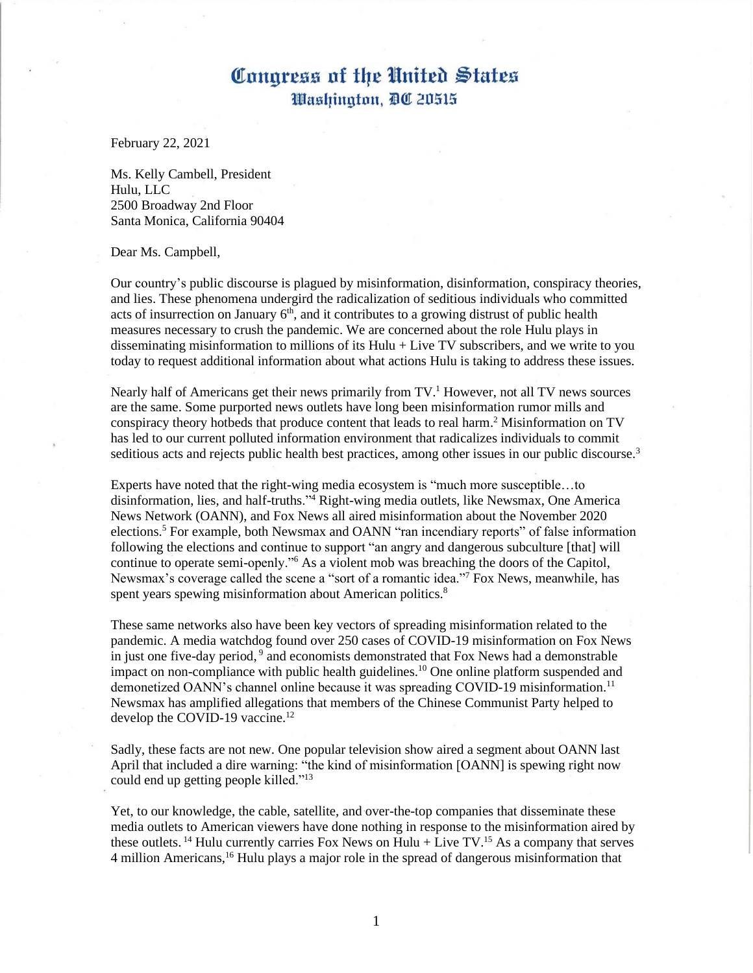February 22, 2021

Ms. Kelly Cambell, President Hulu, LLC 2500 Broadway 2nd Floor Santa Monica, California 90404

Dear Ms. Campbell,

Our country's public discourse is plagued by misinformation, disinformation, conspiracy theories, and lies. These phenomena undergird the radicalization of seditious individuals who committed acts of insurrection on January  $6<sup>th</sup>$ , and it contributes to a growing distrust of public health measures necessary to crush the pandemic. We are concerned about the role Hulu plays in disseminating misinformation to millions of its Hulu + Live TV subscribers, and we write to you today to request additional information about what actions Hulu is taking to address these issues.

Nearly half of Americans get their news primarily from  $TV<sup>1</sup>$  However, not all TV news sources are the same. Some purported news outlets have long been misinformation rumor mills and conspiracy theory hotbeds that produce content that leads to real harm. <sup>2</sup> Misinformation on TV has led to our current polluted information environment that radicalizes individuals to commit seditious acts and rejects public health best practices, among other issues in our public discourse.<sup>3</sup>

Experts have noted that the right-wing media ecosystem is "much more susceptible…to disinformation, lies, and half-truths."<sup>4</sup> Right-wing media outlets, like Newsmax, One America News Network (OANN), and Fox News all aired misinformation about the November 2020 elections.<sup>5</sup> For example, both Newsmax and OANN "ran incendiary reports" of false information following the elections and continue to support "an angry and dangerous subculture [that] will continue to operate semi-openly."<sup>6</sup> As a violent mob was breaching the doors of the Capitol, Newsmax's coverage called the scene a "sort of a romantic idea."<sup>7</sup> Fox News, meanwhile, has spent years spewing misinformation about American politics.<sup>8</sup>

These same networks also have been key vectors of spreading misinformation related to the pandemic. A media watchdog found over 250 cases of COVID-19 misinformation on Fox News in just one five-day period, 9 and economists demonstrated that Fox News had a demonstrable impact on non-compliance with public health guidelines.<sup>10</sup> One online platform suspended and demonetized OANN's channel online because it was spreading COVID-19 misinformation.<sup>11</sup> Newsmax has amplified allegations that members of the Chinese Communist Party helped to develop the COVID-19 vaccine.<sup>12</sup>

Sadly, these facts are not new. One popular television show aired a segment about OANN last April that included a dire warning: "the kind of misinformation [OANN] is spewing right now could end up getting people killed."<sup>13</sup>

Yet, to our knowledge, the cable, satellite, and over-the-top companies that disseminate these media outlets to American viewers have done nothing in response to the misinformation aired by these outlets.<sup>14</sup> Hulu currently carries Fox News on Hulu + Live TV.<sup>15</sup> As a company that serves 4 million Americans,<sup>16</sup> Hulu plays a major role in the spread of dangerous misinformation that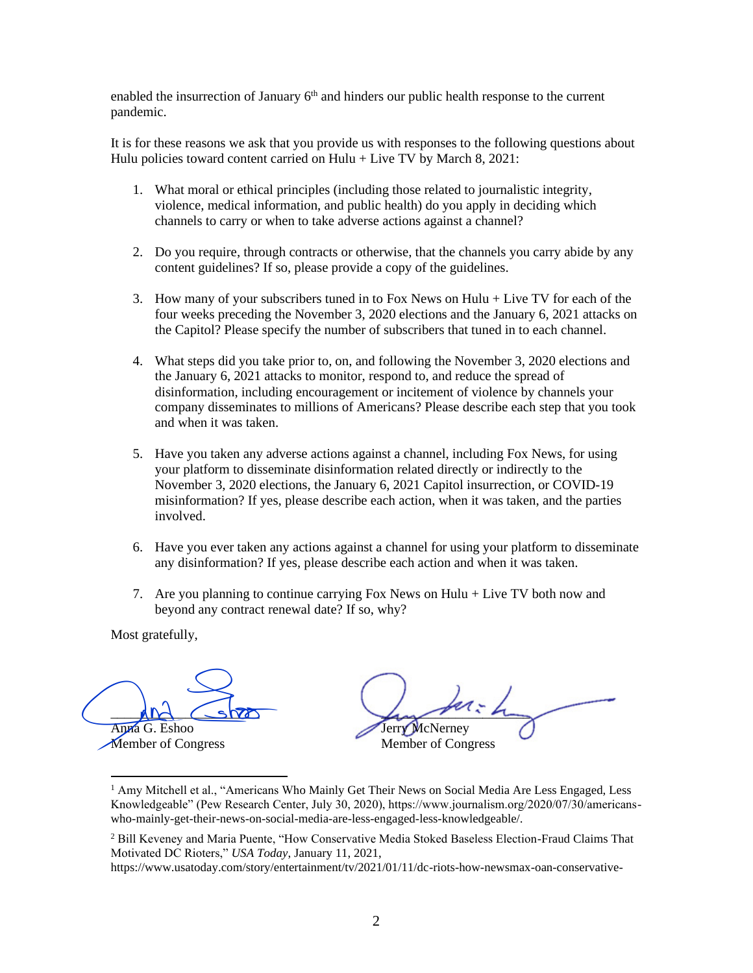enabled the insurrection of January  $6<sup>th</sup>$  and hinders our public health response to the current pandemic.

It is for these reasons we ask that you provide us with responses to the following questions about Hulu policies toward content carried on Hulu + Live TV by March 8, 2021:

- 1. What moral or ethical principles (including those related to journalistic integrity, violence, medical information, and public health) do you apply in deciding which channels to carry or when to take adverse actions against a channel?
- 2. Do you require, through contracts or otherwise, that the channels you carry abide by any content guidelines? If so, please provide a copy of the guidelines.
- 3. How many of your subscribers tuned in to Fox News on Hulu + Live TV for each of the four weeks preceding the November 3, 2020 elections and the January 6, 2021 attacks on the Capitol? Please specify the number of subscribers that tuned in to each channel.
- 4. What steps did you take prior to, on, and following the November 3, 2020 elections and the January 6, 2021 attacks to monitor, respond to, and reduce the spread of disinformation, including encouragement or incitement of violence by channels your company disseminates to millions of Americans? Please describe each step that you took and when it was taken.
- 5. Have you taken any adverse actions against a channel, including Fox News, for using your platform to disseminate disinformation related directly or indirectly to the November 3, 2020 elections, the January 6, 2021 Capitol insurrection, or COVID-19 misinformation? If yes, please describe each action, when it was taken, and the parties involved.
- 6. Have you ever taken any actions against a channel for using your platform to disseminate any disinformation? If yes, please describe each action and when it was taken.
- 7. Are you planning to continue carrying Fox News on Hulu + Live TV both now and beyond any contract renewal date? If so, why?

 $M \cap$   $\subset$   $\cap$ Anna G. Eshoo And Show<br>Anna G. Eshoo<br>Member of Congress

 $L$ Jerry McNerney Member of Congress

<sup>&</sup>lt;sup>1</sup> Amy Mitchell et al., "Americans Who Mainly Get Their News on Social Media Are Less Engaged, Less Knowledgeable" (Pew Research Center, July 30, 2020), https://www.journalism.org/2020/07/30/americanswho-mainly-get-their-news-on-social-media-are-less-engaged-less-knowledgeable/.

<sup>2</sup> Bill Keveney and Maria Puente, "How Conservative Media Stoked Baseless Election-Fraud Claims That Motivated DC Rioters," *USA Today*, January 11, 2021,

https://www.usatoday.com/story/entertainment/tv/2021/01/11/dc-riots-how-newsmax-oan-conservative-